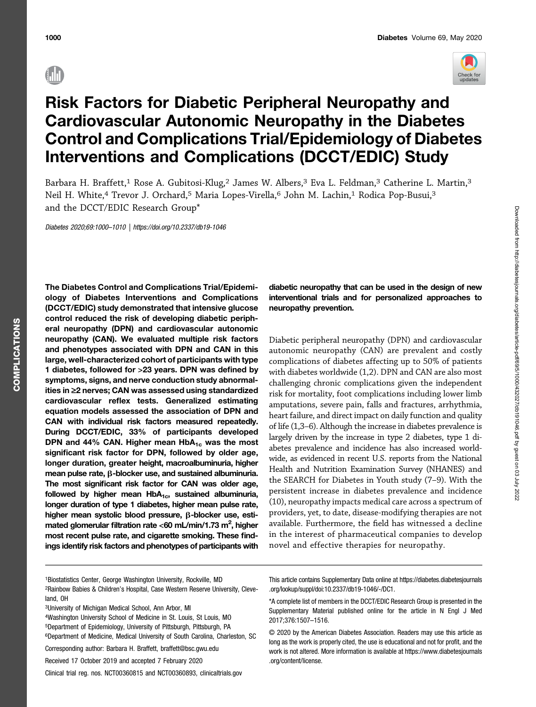

Downloaded from http://diabetesjournals.org/diabetes/article-pdf/69/5/1000/432027/db191046.pdf by guest on 03 July 2022

Downloaded from http://diabetesjournals.org/diabetes/article-pdf/69/5/1000/432027/db191046.pdf by guest on 03 July 2022

# Risk Factors for Diabetic Peripheral Neuropathy and Cardiovascular Autonomic Neuropathy in the Diabetes Control and Complications Trial/Epidemiology of Diabetes Interventions and Complications (DCCT/EDIC) Study

Barbara H. Braffett,<sup>1</sup> Rose A. Gubitosi-Klug,<sup>2</sup> James W. Albers,<sup>3</sup> Eva L. Feldman,<sup>3</sup> Catherine L. Martin,<sup>3</sup> Neil H. White,<sup>4</sup> Trevor J. Orchard,<sup>5</sup> Maria Lopes-Virella,<sup>6</sup> John M. Lachin,<sup>1</sup> Rodica Pop-Busui,<sup>3</sup> and the DCCT/EDIC Research Group\*

Diabetes 2020;69:1000–1010 |<https://doi.org/10.2337/db19-1046>

The Diabetes Control and Complications Trial/Epidemiology of Diabetes Interventions and Complications (DCCT/EDIC) study demonstrated that intensive glucose control reduced the risk of developing diabetic peripheral neuropathy (DPN) and cardiovascular autonomic neuropathy (CAN). We evaluated multiple risk factors and phenotypes associated with DPN and CAN in this large, well-characterized cohort of participants with type 1 diabetes, followed for >23 years. DPN was defined by symptoms, signs, and nerve conduction study abnormalities in  $\geq$ 2 nerves; CAN was assessed using standardized cardiovascular reflex tests. Generalized estimating equation models assessed the association of DPN and CAN with individual risk factors measured repeatedly. During DCCT/EDIC, 33% of participants developed DPN and 44% CAN. Higher mean  $HbA_{1c}$  was the most significant risk factor for DPN, followed by older age, longer duration, greater height, macroalbuminuria, higher mean pulse rate,  $\beta$ -blocker use, and sustained albuminuria. The most significant risk factor for CAN was older age, followed by higher mean  $HbA_{1c}$ , sustained albuminuria, longer duration of type 1 diabetes, higher mean pulse rate, higher mean systolic blood pressure,  $\beta$ -blocker use, estimated glomerular filtration rate <60 mL/min/1.73 m<sup>2</sup>, higher most recent pulse rate, and cigarette smoking. These findings identify risk factors and phenotypes of participants with

# diabetic neuropathy that can be used in the design of new interventional trials and for personalized approaches to neuropathy prevention.

Diabetic peripheral neuropathy (DPN) and cardiovascular autonomic neuropathy (CAN) are prevalent and costly complications of diabetes affecting up to 50% of patients with diabetes worldwide (1,2). DPN and CAN are also most challenging chronic complications given the independent risk for mortality, foot complications including lower limb amputations, severe pain, falls and fractures, arrhythmia, heart failure, and direct impact on daily function and quality of life (1,3–6). Although the increase in diabetes prevalence is largely driven by the increase in type 2 diabetes, type 1 diabetes prevalence and incidence has also increased worldwide, as evidenced in recent U.S. reports from the National Health and Nutrition Examination Survey (NHANES) and the SEARCH for Diabetes in Youth study (7–9). With the persistent increase in diabetes prevalence and incidence (10), neuropathy impacts medical care across a spectrum of providers, yet, to date, disease-modifying therapies are not available. Furthermore, the field has witnessed a decline in the interest of pharmaceutical companies to develop novel and effective therapies for neuropathy.

This article contains Supplementary Data online at [https://diabetes.diabetesjournals](https://diabetes.diabetesjournals.org/lookup/suppl/doi:10.2337/db19-1046/-/DC1) [.org/lookup/suppl/doi:10.2337/db19-1046/-/DC1](https://diabetes.diabetesjournals.org/lookup/suppl/doi:10.2337/db19-1046/-/DC1).

\*A complete list of members in the DCCT/EDIC Research Group is presented in the Supplementary Material published online for the article in N Engl J Med 2017;376:1507–1516.

© 2020 by the American Diabetes Association. Readers may use this article as long as the work is properly cited, the use is educational and not for profit, and the work is not altered. More information is available at [https://www.diabetesjournals](https://www.diabetesjournals.org/content/license) [.org/content/license.](https://www.diabetesjournals.org/content/license)

<sup>1</sup>Biostatistics Center, George Washington University, Rockville, MD 2Rainbow Babies & Children's Hospital, Case Western Reserve University, Cleveland, OH

<sup>3</sup>University of Michigan Medical School, Ann Arbor, MI

<sup>4</sup>Washington University School of Medicine in St. Louis, St Louis, MO 5Department of Epidemiology, University of Pittsburgh, Pittsburgh, PA 6Department of Medicine, Medical University of South Carolina, Charleston, SC

Corresponding author: Barbara H. Braffett, [braffett@bsc.gwu.edu](mailto:braffett@bsc.gwu.edu)

Received 17 October 2019 and accepted 7 February 2020

Clinical trial reg. nos. NCT00360815 and NCT00360893, [clinicaltrials.gov](http://www.clinicaltrials.gov)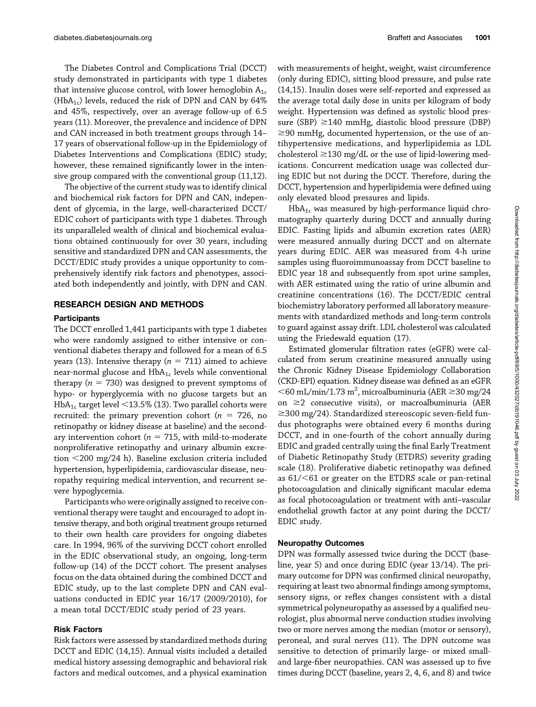The Diabetes Control and Complications Trial (DCCT) study demonstrated in participants with type 1 diabetes that intensive glucose control, with lower hemoglobin  $A_{1c}$ (HbA<sub>1c</sub>) levels, reduced the risk of DPN and CAN by 64% and 45%, respectively, over an average follow-up of 6.5 years (11). Moreover, the prevalence and incidence of DPN and CAN increased in both treatment groups through 14– 17 years of observational follow-up in the Epidemiology of Diabetes Interventions and Complications (EDIC) study; however, these remained significantly lower in the intensive group compared with the conventional group (11,12).

The objective of the current study was to identify clinical and biochemical risk factors for DPN and CAN, independent of glycemia, in the large, well-characterized DCCT/ EDIC cohort of participants with type 1 diabetes. Through its unparalleled wealth of clinical and biochemical evaluations obtained continuously for over 30 years, including sensitive and standardized DPN and CAN assessments, the DCCT/EDIC study provides a unique opportunity to comprehensively identify risk factors and phenotypes, associated both independently and jointly, with DPN and CAN.

# RESEARCH DESIGN AND METHODS

#### **Participants**

The DCCT enrolled 1,441 participants with type 1 diabetes who were randomly assigned to either intensive or conventional diabetes therapy and followed for a mean of 6.5 years (13). Intensive therapy ( $n = 711$ ) aimed to achieve near-normal glucose and  $HbA_{1c}$  levels while conventional therapy ( $n = 730$ ) was designed to prevent symptoms of hypo- or hyperglycemia with no glucose targets but an  $HbA_{1c}$  target level  $\leq$ 13.5% (13). Two parallel cohorts were recruited: the primary prevention cohort ( $n = 726$ , no retinopathy or kidney disease at baseline) and the secondary intervention cohort ( $n = 715$ , with mild-to-moderate nonproliferative retinopathy and urinary albumin excretion  $\leq$ 200 mg/24 h). Baseline exclusion criteria included hypertension, hyperlipidemia, cardiovascular disease, neuropathy requiring medical intervention, and recurrent severe hypoglycemia.

Participants who were originally assigned to receive conventional therapy were taught and encouraged to adopt intensive therapy, and both original treatment groups returned to their own health care providers for ongoing diabetes care. In 1994, 96% of the surviving DCCT cohort enrolled in the EDIC observational study, an ongoing, long-term follow-up (14) of the DCCT cohort. The present analyses focus on the data obtained during the combined DCCT and EDIC study, up to the last complete DPN and CAN evaluations conducted in EDIC year 16/17 (2009/2010), for a mean total DCCT/EDIC study period of 23 years.

# Risk Factors

Risk factors were assessed by standardized methods during DCCT and EDIC (14,15). Annual visits included a detailed medical history assessing demographic and behavioral risk factors and medical outcomes, and a physical examination

with measurements of height, weight, waist circumference (only during EDIC), sitting blood pressure, and pulse rate (14,15). Insulin doses were self-reported and expressed as the average total daily dose in units per kilogram of body weight. Hypertension was defined as systolic blood pressure (SBP)  $\geq$ 140 mmHg, diastolic blood pressure (DBP)  $\geq$ 90 mmHg, documented hypertension, or the use of antihypertensive medications, and hyperlipidemia as LDL cholesterol  $\geq$ 130 mg/dL or the use of lipid-lowering medications. Concurrent medication usage was collected during EDIC but not during the DCCT. Therefore, during the DCCT, hypertension and hyperlipidemia were defined using only elevated blood pressures and lipids.

 $HbA_{1c}$  was measured by high-performance liquid chromatography quarterly during DCCT and annually during EDIC. Fasting lipids and albumin excretion rates (AER) were measured annually during DCCT and on alternate years during EDIC. AER was measured from 4-h urine samples using fluoroimmunoassay from DCCT baseline to EDIC year 18 and subsequently from spot urine samples, with AER estimated using the ratio of urine albumin and creatinine concentrations (16). The DCCT/EDIC central biochemistry laboratory performed all laboratory measurements with standardized methods and long-term controls to guard against assay drift. LDL cholesterol was calculated using the Friedewald equation (17).

Estimated glomerular filtration rates (eGFR) were calculated from serum creatinine measured annually using the Chronic Kidney Disease Epidemiology Collaboration (CKD-EPI) equation. Kidney disease was defined as an eGFR  $<$ 60 mL/min/1.73 m<sup>2</sup>, microalbuminuria (AER  $\geq$ 30 mg/24 on  $\geq$  2 consecutive visits), or macroalbuminuria (AER  $\geq$ 300 mg/24). Standardized stereoscopic seven-field fundus photographs were obtained every 6 months during DCCT, and in one-fourth of the cohort annually during EDIC and graded centrally using the final Early Treatment of Diabetic Retinopathy Study (ETDRS) severity grading scale (18). Proliferative diabetic retinopathy was defined as  $61/51$  or greater on the ETDRS scale or pan-retinal photocoagulation and clinically significant macular edema as focal photocoagulation or treatment with anti–vascular endothelial growth factor at any point during the DCCT/ EDIC study.

# Neuropathy Outcomes

DPN was formally assessed twice during the DCCT (baseline, year 5) and once during EDIC (year 13/14). The primary outcome for DPN was confirmed clinical neuropathy, requiring at least two abnormal findings among symptoms, sensory signs, or reflex changes consistent with a distal symmetrical polyneuropathy as assessed by a qualified neurologist, plus abnormal nerve conduction studies involving two or more nerves among the median (motor or sensory), peroneal, and sural nerves (11). The DPN outcome was sensitive to detection of primarily large- or mixed smalland large-fiber neuropathies. CAN was assessed up to five times during DCCT (baseline, years 2, 4, 6, and 8) and twice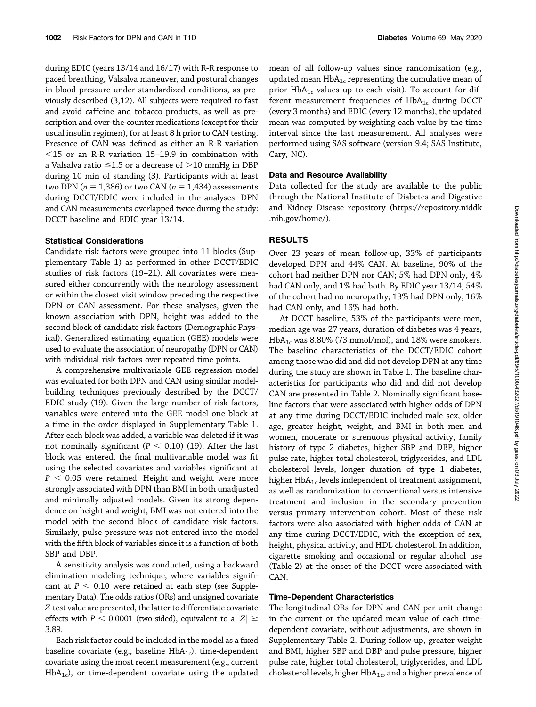during EDIC (years 13/14 and 16/17) with R-R response to paced breathing, Valsalva maneuver, and postural changes in blood pressure under standardized conditions, as previously described (3,12). All subjects were required to fast and avoid caffeine and tobacco products, as well as prescription and over-the-counter medications (except for their usual insulin regimen), for at least 8 h prior to CAN testing. Presence of CAN was defined as either an R-R variation  $<$ 15 or an R-R variation 15–19.9 in combination with a Valsalva ratio  $\leq$ 1.5 or a decrease of  $>$ 10 mmHg in DBP during 10 min of standing (3). Participants with at least two DPN ( $n = 1,386$ ) or two CAN ( $n = 1,434$ ) assessments during DCCT/EDIC were included in the analyses. DPN and CAN measurements overlapped twice during the study: DCCT baseline and EDIC year 13/14.

### Statistical Considerations

Candidate risk factors were grouped into 11 blocks ([Sup](http://diabetes.diabetesjournals.org/lookup/suppl/doi:10.2337/db19-1046/-/DC1)[plementary Table 1\)](http://diabetes.diabetesjournals.org/lookup/suppl/doi:10.2337/db19-1046/-/DC1) as performed in other DCCT/EDIC studies of risk factors (19–21). All covariates were measured either concurrently with the neurology assessment or within the closest visit window preceding the respective DPN or CAN assessment. For these analyses, given the known association with DPN, height was added to the second block of candidate risk factors (Demographic Physical). Generalized estimating equation (GEE) models were used to evaluate the association of neuropathy (DPN or CAN) with individual risk factors over repeated time points.

A comprehensive multivariable GEE regression model was evaluated for both DPN and CAN using similar modelbuilding techniques previously described by the DCCT/ EDIC study (19). Given the large number of risk factors, variables were entered into the GEE model one block at a time in the order displayed in [Supplementary Table 1.](http://diabetes.diabetesjournals.org/lookup/suppl/doi:10.2337/db19-1046/-/DC1) After each block was added, a variable was deleted if it was not nominally significant ( $P < 0.10$ ) (19). After the last block was entered, the final multivariable model was fit using the selected covariates and variables significant at  $P < 0.05$  were retained. Height and weight were more strongly associated with DPN than BMI in both unadjusted and minimally adjusted models. Given its strong dependence on height and weight, BMI was not entered into the model with the second block of candidate risk factors. Similarly, pulse pressure was not entered into the model with the fifth block of variables since it is a function of both SBP and DBP.

A sensitivity analysis was conducted, using a backward elimination modeling technique, where variables significant at  $P < 0.10$  were retained at each step (see [Supple](http://diabetes.diabetesjournals.org/lookup/suppl/doi:10.2337/db19-1046/-/DC1)[mentary Data\)](http://diabetes.diabetesjournals.org/lookup/suppl/doi:10.2337/db19-1046/-/DC1). The odds ratios (ORs) and unsigned covariate Z-test value are presented, the latter to differentiate covariate effects with  $P < 0.0001$  (two-sided), equivalent to a  $|Z| \ge$ 3.89.

Each risk factor could be included in the model as a fixed baseline covariate (e.g., baseline  $HbA_{1c}$ ), time-dependent covariate using the most recent measurement (e.g., current  $HbA<sub>1c</sub>$ ), or time-dependent covariate using the updated

mean of all follow-up values since randomization (e.g., updated mean  $HbA_{1c}$  representing the cumulative mean of prior  $HbA_{1c}$  values up to each visit). To account for different measurement frequencies of  $HbA_{1c}$  during DCCT (every 3 months) and EDIC (every 12 months), the updated mean was computed by weighting each value by the time interval since the last measurement. All analyses were performed using SAS software (version 9.4; SAS Institute, Cary, NC).

#### Data and Resource Availability

Data collected for the study are available to the public through the National Institute of Diabetes and Digestive and Kidney Disease repository [\(https://repository.niddk](https://repository.niddk.nih.gov/home/) [.nih.gov/home/](https://repository.niddk.nih.gov/home/)).

# RESULTS

Over 23 years of mean follow-up, 33% of participants developed DPN and 44% CAN. At baseline, 90% of the cohort had neither DPN nor CAN; 5% had DPN only, 4% had CAN only, and 1% had both. By EDIC year 13/14, 54% of the cohort had no neuropathy; 13% had DPN only, 16% had CAN only, and 16% had both.

At DCCT baseline, 53% of the participants were men, median age was 27 years, duration of diabetes was 4 years,  $HbA<sub>1c</sub>$  was 8.80% (73 mmol/mol), and 18% were smokers. The baseline characteristics of the DCCT/EDIC cohort among those who did and did not develop DPN at any time during the study are shown in Table 1. The baseline characteristics for participants who did and did not develop CAN are presented in Table 2. Nominally significant baseline factors that were associated with higher odds of DPN at any time during DCCT/EDIC included male sex, older age, greater height, weight, and BMI in both men and women, moderate or strenuous physical activity, family history of type 2 diabetes, higher SBP and DBP, higher pulse rate, higher total cholesterol, triglycerides, and LDL cholesterol levels, longer duration of type 1 diabetes, higher  $HbA_{1c}$  levels independent of treatment assignment, as well as randomization to conventional versus intensive treatment and inclusion in the secondary prevention versus primary intervention cohort. Most of these risk factors were also associated with higher odds of CAN at any time during DCCT/EDIC, with the exception of sex, height, physical activity, and HDL cholesterol. In addition, cigarette smoking and occasional or regular alcohol use (Table 2) at the onset of the DCCT were associated with CAN.

# Time-Dependent Characteristics

The longitudinal ORs for DPN and CAN per unit change in the current or the updated mean value of each timedependent covariate, without adjustments, are shown in [Supplementary Table 2](http://diabetes.diabetesjournals.org/lookup/suppl/doi:10.2337/db19-1046/-/DC1). During follow-up, greater weight and BMI, higher SBP and DBP and pulse pressure, higher pulse rate, higher total cholesterol, triglycerides, and LDL cholesterol levels, higher  $HbA_{1c}$ , and a higher prevalence of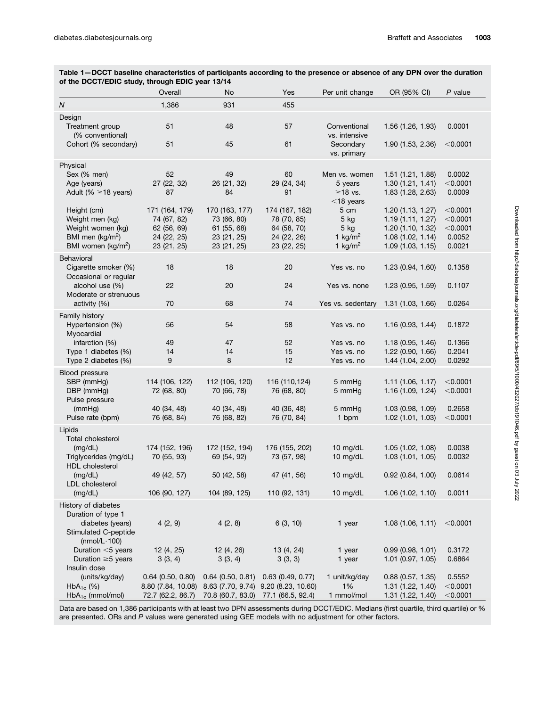| Table 1–DCCT baseline characteristics of participants according to the presence or absence of any DPN over the duration |  |  |  |  |          |               |  |  |  |
|-------------------------------------------------------------------------------------------------------------------------|--|--|--|--|----------|---------------|--|--|--|
| of the DCCT/EDIC study, through EDIC year 13/14                                                                         |  |  |  |  |          |               |  |  |  |
|                                                                                                                         |  |  |  |  | AD/AD/AD | $\sim$ $\sim$ |  |  |  |

| $\overline{N}$<br>1,386<br>931<br>455<br>Design<br>48<br>Treatment group<br>51<br>57<br>1.56 (1.26, 1.93)<br>0.0001<br>Conventional<br>(% conventional)<br>vs. intensive<br>51<br>61<br>1.90 (1.53, 2.36)<br>< 0.0001<br>Cohort (% secondary)<br>45<br>Secondary<br>vs. primary<br>Physical<br>52<br>Sex (% men)<br>49<br>60<br>1.51 (1.21, 1.88)<br>0.0002<br>Men vs. women<br>Age (years)<br>27 (22, 32)<br>26 (21, 32)<br>29 (24, 34)<br>< 0.0001<br>5 years<br>1.30(1.21, 1.41)<br>Adult (% $\geq$ 18 years)<br>0.0009<br>87<br>84<br>91<br>$\geq$ 18 vs.<br>1.83 (1.28, 2.63)<br>$<$ 18 years<br>5 cm<br>$<$ 0.0001<br>Height (cm)<br>171 (164, 179)<br>170 (163, 177)<br>174 (167, 182)<br>1.20(1.13, 1.27)<br>$<$ 0.0001<br>Weight men (kg)<br>74 (67, 82)<br>73 (66, 80)<br>78 (70, 85)<br>$5$ kg<br>1.19(1.11, 1.27)<br>Weight women (kg)<br>62 (56, 69)<br>61 (55, 68)<br>64 (58, 70)<br>1.20 (1.10, 1.32)<br>$<$ 0.0001<br>$5$ kg<br>1 $\text{kg/m}^2$<br>BMI men (kg/m <sup>2</sup> )<br>24 (22, 26)<br>1.08(1.02, 1.14)<br>0.0052<br>24 (22, 25)<br>23 (21, 25)<br>BMI women (kg/m <sup>2</sup> )<br>23 (21, 25)<br>1 kg/m <sup>2</sup><br>1.09(1.03, 1.15)<br>0.0021<br>23 (21, 25)<br>23 (22, 25)<br>Behavioral<br>18<br>18<br>20<br>Cigarette smoker (%)<br>Yes vs. no<br>1.23(0.94, 1.60)<br>0.1358<br>Occasional or regular<br>22<br>alcohol use (%)<br>20<br>24<br>Yes vs. none<br>1.23 (0.95, 1.59)<br>0.1107<br>Moderate or strenuous<br>70<br>activity (%)<br>68<br>74<br>Yes vs. sedentary<br>1.31 (1.03, 1.66)<br>0.0264<br>Family history<br>Hypertension (%)<br>56<br>54<br>58<br>Yes vs. no<br>1.16 (0.93, 1.44)<br>0.1872<br>Myocardial<br>infarction (%)<br>49<br>47<br>52<br>1.18 (0.95, 1.46)<br>0.1366<br>Yes vs. no<br>0.2041<br>Type 1 diabetes (%)<br>14<br>14<br>15<br>Yes vs. no<br>1.22 (0.90, 1.66)<br>Type 2 diabetes (%)<br>9<br>8<br>12<br>Yes vs. no<br>1.44 (1.04, 2.00)<br>0.0292<br><b>Blood pressure</b><br>SBP (mmHg)<br>114 (106, 122)<br>112 (106, 120)<br>116 (110,124)<br>1.11(1.06, 1.17)<br>$<$ 0.0001<br>5 mmHg<br>DBP (mmHg)<br>72 (68, 80)<br>70 (66, 78)<br>76 (68, 80)<br>5 mmHg<br>1.16 (1.09, 1.24)<br>$<$ 0.0001<br>Pulse pressure<br>40 (36, 48)<br>1.03 (0.98, 1.09)<br>0.2658<br>(mmHg)<br>40 (34, 48)<br>40 (34, 48)<br>5 mmHg<br>76 (68, 84)<br>76 (68, 82)<br>76 (70, 84)<br>1.02 (1.01, 1.03)<br>$<$ 0.0001<br>Pulse rate (bpm)<br>1 bpm<br>Lipids<br>Total cholesterol<br>172 (152, 194)<br>176 (155, 202)<br>10 mg/dL<br>1.05 (1.02, 1.08)<br>0.0038<br>(mg/dL)<br>174 (152, 196)<br>Triglycerides (mg/dL)<br>70 (55, 93)<br>73 (57, 98)<br>10 mg/dL<br>1.03(1.01, 1.05)<br>69 (54, 92)<br>0.0032<br><b>HDL</b> cholesterol<br>50 (42, 58)<br>(mg/dL)<br>49 (42, 57)<br>47 (41, 56)<br>10 mg/dL<br>0.92(0.84, 1.00)<br>0.0614<br>LDL cholesterol<br>106 (90, 127)<br>104 (89, 125)<br>110 (92, 131)<br>1.06(1.02, 1.10)<br>0.0011<br>(mg/dL)<br>10 mg/dL<br>History of diabetes<br>Duration of type 1<br>4(2, 9)<br>4(2, 8)<br>6 (3, 10)<br>< 0.0001<br>diabetes (years)<br>1 year<br>1.08(1.06, 1.11)<br><b>Stimulated C-peptide</b><br>(nmol/L $\cdot$ 100)<br>Duration <5 years<br>12(4, 25)<br>12 (4, 26)<br>13 (4, 24)<br>1 year<br>0.99(0.98, 1.01)<br>0.3172<br>Duration $\geq$ 5 years<br>3(3, 4)<br>3(3, 4)<br>3(3, 3)<br>1 year<br>$1.01$ (0.97, 1.05)<br>0.6864<br>Insulin dose<br>(units/kg/day)<br>$0.64$ (0.50, 0.80)<br>$0.64$ (0.50, 0.81)<br>$0.63$ (0.49, 0.77)<br>1 unit/kg/day<br>0.88(0.57, 1.35)<br>0.5552<br>1%<br>$HbA_{1c}$ (%)<br>8.63 (7.70, 9.74) 9.20 (8.23, 10.60)<br>1.31 (1.22, 1.40)<br>< 0.0001<br>8.80 (7.84, 10.08)<br>HbA <sub>1c</sub> (mmol/mol)<br>77.1 (66.5, 92.4)<br>1 mmol/mol<br>< 0.0001<br>72.7 (62.2, 86.7)<br>70.8 (60.7, 83.0)<br>1.31(1.22, 1.40) | Overall | No | Yes | Per unit change | OR (95% CI) | $P$ value |
|-----------------------------------------------------------------------------------------------------------------------------------------------------------------------------------------------------------------------------------------------------------------------------------------------------------------------------------------------------------------------------------------------------------------------------------------------------------------------------------------------------------------------------------------------------------------------------------------------------------------------------------------------------------------------------------------------------------------------------------------------------------------------------------------------------------------------------------------------------------------------------------------------------------------------------------------------------------------------------------------------------------------------------------------------------------------------------------------------------------------------------------------------------------------------------------------------------------------------------------------------------------------------------------------------------------------------------------------------------------------------------------------------------------------------------------------------------------------------------------------------------------------------------------------------------------------------------------------------------------------------------------------------------------------------------------------------------------------------------------------------------------------------------------------------------------------------------------------------------------------------------------------------------------------------------------------------------------------------------------------------------------------------------------------------------------------------------------------------------------------------------------------------------------------------------------------------------------------------------------------------------------------------------------------------------------------------------------------------------------------------------------------------------------------------------------------------------------------------------------------------------------------------------------------------------------------------------------------------------------------------------------------------------------------------------------------------------------------------------------------------------------------------------------------------------------------------------------------------------------------------------------------------------------------------------------------------------------------------------------------------------------------------------------------------------------------------------------------------------------------------------------------------------------------------------------------------------------------------------------------------------------------------------------------------------------------------------------------------------------------------------------------------------------------------------------------------------------------------------------------------------------------------------------------------------------------------------------------------------------------------------------------------------------------------------------------------------------------------------------------------------------------------------|---------|----|-----|-----------------|-------------|-----------|
|                                                                                                                                                                                                                                                                                                                                                                                                                                                                                                                                                                                                                                                                                                                                                                                                                                                                                                                                                                                                                                                                                                                                                                                                                                                                                                                                                                                                                                                                                                                                                                                                                                                                                                                                                                                                                                                                                                                                                                                                                                                                                                                                                                                                                                                                                                                                                                                                                                                                                                                                                                                                                                                                                                                                                                                                                                                                                                                                                                                                                                                                                                                                                                                                                                                                                                                                                                                                                                                                                                                                                                                                                                                                                                                                                                             |         |    |     |                 |             |           |
|                                                                                                                                                                                                                                                                                                                                                                                                                                                                                                                                                                                                                                                                                                                                                                                                                                                                                                                                                                                                                                                                                                                                                                                                                                                                                                                                                                                                                                                                                                                                                                                                                                                                                                                                                                                                                                                                                                                                                                                                                                                                                                                                                                                                                                                                                                                                                                                                                                                                                                                                                                                                                                                                                                                                                                                                                                                                                                                                                                                                                                                                                                                                                                                                                                                                                                                                                                                                                                                                                                                                                                                                                                                                                                                                                                             |         |    |     |                 |             |           |
|                                                                                                                                                                                                                                                                                                                                                                                                                                                                                                                                                                                                                                                                                                                                                                                                                                                                                                                                                                                                                                                                                                                                                                                                                                                                                                                                                                                                                                                                                                                                                                                                                                                                                                                                                                                                                                                                                                                                                                                                                                                                                                                                                                                                                                                                                                                                                                                                                                                                                                                                                                                                                                                                                                                                                                                                                                                                                                                                                                                                                                                                                                                                                                                                                                                                                                                                                                                                                                                                                                                                                                                                                                                                                                                                                                             |         |    |     |                 |             |           |
|                                                                                                                                                                                                                                                                                                                                                                                                                                                                                                                                                                                                                                                                                                                                                                                                                                                                                                                                                                                                                                                                                                                                                                                                                                                                                                                                                                                                                                                                                                                                                                                                                                                                                                                                                                                                                                                                                                                                                                                                                                                                                                                                                                                                                                                                                                                                                                                                                                                                                                                                                                                                                                                                                                                                                                                                                                                                                                                                                                                                                                                                                                                                                                                                                                                                                                                                                                                                                                                                                                                                                                                                                                                                                                                                                                             |         |    |     |                 |             |           |
|                                                                                                                                                                                                                                                                                                                                                                                                                                                                                                                                                                                                                                                                                                                                                                                                                                                                                                                                                                                                                                                                                                                                                                                                                                                                                                                                                                                                                                                                                                                                                                                                                                                                                                                                                                                                                                                                                                                                                                                                                                                                                                                                                                                                                                                                                                                                                                                                                                                                                                                                                                                                                                                                                                                                                                                                                                                                                                                                                                                                                                                                                                                                                                                                                                                                                                                                                                                                                                                                                                                                                                                                                                                                                                                                                                             |         |    |     |                 |             |           |
|                                                                                                                                                                                                                                                                                                                                                                                                                                                                                                                                                                                                                                                                                                                                                                                                                                                                                                                                                                                                                                                                                                                                                                                                                                                                                                                                                                                                                                                                                                                                                                                                                                                                                                                                                                                                                                                                                                                                                                                                                                                                                                                                                                                                                                                                                                                                                                                                                                                                                                                                                                                                                                                                                                                                                                                                                                                                                                                                                                                                                                                                                                                                                                                                                                                                                                                                                                                                                                                                                                                                                                                                                                                                                                                                                                             |         |    |     |                 |             |           |
|                                                                                                                                                                                                                                                                                                                                                                                                                                                                                                                                                                                                                                                                                                                                                                                                                                                                                                                                                                                                                                                                                                                                                                                                                                                                                                                                                                                                                                                                                                                                                                                                                                                                                                                                                                                                                                                                                                                                                                                                                                                                                                                                                                                                                                                                                                                                                                                                                                                                                                                                                                                                                                                                                                                                                                                                                                                                                                                                                                                                                                                                                                                                                                                                                                                                                                                                                                                                                                                                                                                                                                                                                                                                                                                                                                             |         |    |     |                 |             |           |
|                                                                                                                                                                                                                                                                                                                                                                                                                                                                                                                                                                                                                                                                                                                                                                                                                                                                                                                                                                                                                                                                                                                                                                                                                                                                                                                                                                                                                                                                                                                                                                                                                                                                                                                                                                                                                                                                                                                                                                                                                                                                                                                                                                                                                                                                                                                                                                                                                                                                                                                                                                                                                                                                                                                                                                                                                                                                                                                                                                                                                                                                                                                                                                                                                                                                                                                                                                                                                                                                                                                                                                                                                                                                                                                                                                             |         |    |     |                 |             |           |
|                                                                                                                                                                                                                                                                                                                                                                                                                                                                                                                                                                                                                                                                                                                                                                                                                                                                                                                                                                                                                                                                                                                                                                                                                                                                                                                                                                                                                                                                                                                                                                                                                                                                                                                                                                                                                                                                                                                                                                                                                                                                                                                                                                                                                                                                                                                                                                                                                                                                                                                                                                                                                                                                                                                                                                                                                                                                                                                                                                                                                                                                                                                                                                                                                                                                                                                                                                                                                                                                                                                                                                                                                                                                                                                                                                             |         |    |     |                 |             |           |
|                                                                                                                                                                                                                                                                                                                                                                                                                                                                                                                                                                                                                                                                                                                                                                                                                                                                                                                                                                                                                                                                                                                                                                                                                                                                                                                                                                                                                                                                                                                                                                                                                                                                                                                                                                                                                                                                                                                                                                                                                                                                                                                                                                                                                                                                                                                                                                                                                                                                                                                                                                                                                                                                                                                                                                                                                                                                                                                                                                                                                                                                                                                                                                                                                                                                                                                                                                                                                                                                                                                                                                                                                                                                                                                                                                             |         |    |     |                 |             |           |
|                                                                                                                                                                                                                                                                                                                                                                                                                                                                                                                                                                                                                                                                                                                                                                                                                                                                                                                                                                                                                                                                                                                                                                                                                                                                                                                                                                                                                                                                                                                                                                                                                                                                                                                                                                                                                                                                                                                                                                                                                                                                                                                                                                                                                                                                                                                                                                                                                                                                                                                                                                                                                                                                                                                                                                                                                                                                                                                                                                                                                                                                                                                                                                                                                                                                                                                                                                                                                                                                                                                                                                                                                                                                                                                                                                             |         |    |     |                 |             |           |
|                                                                                                                                                                                                                                                                                                                                                                                                                                                                                                                                                                                                                                                                                                                                                                                                                                                                                                                                                                                                                                                                                                                                                                                                                                                                                                                                                                                                                                                                                                                                                                                                                                                                                                                                                                                                                                                                                                                                                                                                                                                                                                                                                                                                                                                                                                                                                                                                                                                                                                                                                                                                                                                                                                                                                                                                                                                                                                                                                                                                                                                                                                                                                                                                                                                                                                                                                                                                                                                                                                                                                                                                                                                                                                                                                                             |         |    |     |                 |             |           |
|                                                                                                                                                                                                                                                                                                                                                                                                                                                                                                                                                                                                                                                                                                                                                                                                                                                                                                                                                                                                                                                                                                                                                                                                                                                                                                                                                                                                                                                                                                                                                                                                                                                                                                                                                                                                                                                                                                                                                                                                                                                                                                                                                                                                                                                                                                                                                                                                                                                                                                                                                                                                                                                                                                                                                                                                                                                                                                                                                                                                                                                                                                                                                                                                                                                                                                                                                                                                                                                                                                                                                                                                                                                                                                                                                                             |         |    |     |                 |             |           |
|                                                                                                                                                                                                                                                                                                                                                                                                                                                                                                                                                                                                                                                                                                                                                                                                                                                                                                                                                                                                                                                                                                                                                                                                                                                                                                                                                                                                                                                                                                                                                                                                                                                                                                                                                                                                                                                                                                                                                                                                                                                                                                                                                                                                                                                                                                                                                                                                                                                                                                                                                                                                                                                                                                                                                                                                                                                                                                                                                                                                                                                                                                                                                                                                                                                                                                                                                                                                                                                                                                                                                                                                                                                                                                                                                                             |         |    |     |                 |             |           |
|                                                                                                                                                                                                                                                                                                                                                                                                                                                                                                                                                                                                                                                                                                                                                                                                                                                                                                                                                                                                                                                                                                                                                                                                                                                                                                                                                                                                                                                                                                                                                                                                                                                                                                                                                                                                                                                                                                                                                                                                                                                                                                                                                                                                                                                                                                                                                                                                                                                                                                                                                                                                                                                                                                                                                                                                                                                                                                                                                                                                                                                                                                                                                                                                                                                                                                                                                                                                                                                                                                                                                                                                                                                                                                                                                                             |         |    |     |                 |             |           |
|                                                                                                                                                                                                                                                                                                                                                                                                                                                                                                                                                                                                                                                                                                                                                                                                                                                                                                                                                                                                                                                                                                                                                                                                                                                                                                                                                                                                                                                                                                                                                                                                                                                                                                                                                                                                                                                                                                                                                                                                                                                                                                                                                                                                                                                                                                                                                                                                                                                                                                                                                                                                                                                                                                                                                                                                                                                                                                                                                                                                                                                                                                                                                                                                                                                                                                                                                                                                                                                                                                                                                                                                                                                                                                                                                                             |         |    |     |                 |             |           |
|                                                                                                                                                                                                                                                                                                                                                                                                                                                                                                                                                                                                                                                                                                                                                                                                                                                                                                                                                                                                                                                                                                                                                                                                                                                                                                                                                                                                                                                                                                                                                                                                                                                                                                                                                                                                                                                                                                                                                                                                                                                                                                                                                                                                                                                                                                                                                                                                                                                                                                                                                                                                                                                                                                                                                                                                                                                                                                                                                                                                                                                                                                                                                                                                                                                                                                                                                                                                                                                                                                                                                                                                                                                                                                                                                                             |         |    |     |                 |             |           |
|                                                                                                                                                                                                                                                                                                                                                                                                                                                                                                                                                                                                                                                                                                                                                                                                                                                                                                                                                                                                                                                                                                                                                                                                                                                                                                                                                                                                                                                                                                                                                                                                                                                                                                                                                                                                                                                                                                                                                                                                                                                                                                                                                                                                                                                                                                                                                                                                                                                                                                                                                                                                                                                                                                                                                                                                                                                                                                                                                                                                                                                                                                                                                                                                                                                                                                                                                                                                                                                                                                                                                                                                                                                                                                                                                                             |         |    |     |                 |             |           |
|                                                                                                                                                                                                                                                                                                                                                                                                                                                                                                                                                                                                                                                                                                                                                                                                                                                                                                                                                                                                                                                                                                                                                                                                                                                                                                                                                                                                                                                                                                                                                                                                                                                                                                                                                                                                                                                                                                                                                                                                                                                                                                                                                                                                                                                                                                                                                                                                                                                                                                                                                                                                                                                                                                                                                                                                                                                                                                                                                                                                                                                                                                                                                                                                                                                                                                                                                                                                                                                                                                                                                                                                                                                                                                                                                                             |         |    |     |                 |             |           |
|                                                                                                                                                                                                                                                                                                                                                                                                                                                                                                                                                                                                                                                                                                                                                                                                                                                                                                                                                                                                                                                                                                                                                                                                                                                                                                                                                                                                                                                                                                                                                                                                                                                                                                                                                                                                                                                                                                                                                                                                                                                                                                                                                                                                                                                                                                                                                                                                                                                                                                                                                                                                                                                                                                                                                                                                                                                                                                                                                                                                                                                                                                                                                                                                                                                                                                                                                                                                                                                                                                                                                                                                                                                                                                                                                                             |         |    |     |                 |             |           |
|                                                                                                                                                                                                                                                                                                                                                                                                                                                                                                                                                                                                                                                                                                                                                                                                                                                                                                                                                                                                                                                                                                                                                                                                                                                                                                                                                                                                                                                                                                                                                                                                                                                                                                                                                                                                                                                                                                                                                                                                                                                                                                                                                                                                                                                                                                                                                                                                                                                                                                                                                                                                                                                                                                                                                                                                                                                                                                                                                                                                                                                                                                                                                                                                                                                                                                                                                                                                                                                                                                                                                                                                                                                                                                                                                                             |         |    |     |                 |             |           |
|                                                                                                                                                                                                                                                                                                                                                                                                                                                                                                                                                                                                                                                                                                                                                                                                                                                                                                                                                                                                                                                                                                                                                                                                                                                                                                                                                                                                                                                                                                                                                                                                                                                                                                                                                                                                                                                                                                                                                                                                                                                                                                                                                                                                                                                                                                                                                                                                                                                                                                                                                                                                                                                                                                                                                                                                                                                                                                                                                                                                                                                                                                                                                                                                                                                                                                                                                                                                                                                                                                                                                                                                                                                                                                                                                                             |         |    |     |                 |             |           |
|                                                                                                                                                                                                                                                                                                                                                                                                                                                                                                                                                                                                                                                                                                                                                                                                                                                                                                                                                                                                                                                                                                                                                                                                                                                                                                                                                                                                                                                                                                                                                                                                                                                                                                                                                                                                                                                                                                                                                                                                                                                                                                                                                                                                                                                                                                                                                                                                                                                                                                                                                                                                                                                                                                                                                                                                                                                                                                                                                                                                                                                                                                                                                                                                                                                                                                                                                                                                                                                                                                                                                                                                                                                                                                                                                                             |         |    |     |                 |             |           |
|                                                                                                                                                                                                                                                                                                                                                                                                                                                                                                                                                                                                                                                                                                                                                                                                                                                                                                                                                                                                                                                                                                                                                                                                                                                                                                                                                                                                                                                                                                                                                                                                                                                                                                                                                                                                                                                                                                                                                                                                                                                                                                                                                                                                                                                                                                                                                                                                                                                                                                                                                                                                                                                                                                                                                                                                                                                                                                                                                                                                                                                                                                                                                                                                                                                                                                                                                                                                                                                                                                                                                                                                                                                                                                                                                                             |         |    |     |                 |             |           |
|                                                                                                                                                                                                                                                                                                                                                                                                                                                                                                                                                                                                                                                                                                                                                                                                                                                                                                                                                                                                                                                                                                                                                                                                                                                                                                                                                                                                                                                                                                                                                                                                                                                                                                                                                                                                                                                                                                                                                                                                                                                                                                                                                                                                                                                                                                                                                                                                                                                                                                                                                                                                                                                                                                                                                                                                                                                                                                                                                                                                                                                                                                                                                                                                                                                                                                                                                                                                                                                                                                                                                                                                                                                                                                                                                                             |         |    |     |                 |             |           |
|                                                                                                                                                                                                                                                                                                                                                                                                                                                                                                                                                                                                                                                                                                                                                                                                                                                                                                                                                                                                                                                                                                                                                                                                                                                                                                                                                                                                                                                                                                                                                                                                                                                                                                                                                                                                                                                                                                                                                                                                                                                                                                                                                                                                                                                                                                                                                                                                                                                                                                                                                                                                                                                                                                                                                                                                                                                                                                                                                                                                                                                                                                                                                                                                                                                                                                                                                                                                                                                                                                                                                                                                                                                                                                                                                                             |         |    |     |                 |             |           |
|                                                                                                                                                                                                                                                                                                                                                                                                                                                                                                                                                                                                                                                                                                                                                                                                                                                                                                                                                                                                                                                                                                                                                                                                                                                                                                                                                                                                                                                                                                                                                                                                                                                                                                                                                                                                                                                                                                                                                                                                                                                                                                                                                                                                                                                                                                                                                                                                                                                                                                                                                                                                                                                                                                                                                                                                                                                                                                                                                                                                                                                                                                                                                                                                                                                                                                                                                                                                                                                                                                                                                                                                                                                                                                                                                                             |         |    |     |                 |             |           |
|                                                                                                                                                                                                                                                                                                                                                                                                                                                                                                                                                                                                                                                                                                                                                                                                                                                                                                                                                                                                                                                                                                                                                                                                                                                                                                                                                                                                                                                                                                                                                                                                                                                                                                                                                                                                                                                                                                                                                                                                                                                                                                                                                                                                                                                                                                                                                                                                                                                                                                                                                                                                                                                                                                                                                                                                                                                                                                                                                                                                                                                                                                                                                                                                                                                                                                                                                                                                                                                                                                                                                                                                                                                                                                                                                                             |         |    |     |                 |             |           |
|                                                                                                                                                                                                                                                                                                                                                                                                                                                                                                                                                                                                                                                                                                                                                                                                                                                                                                                                                                                                                                                                                                                                                                                                                                                                                                                                                                                                                                                                                                                                                                                                                                                                                                                                                                                                                                                                                                                                                                                                                                                                                                                                                                                                                                                                                                                                                                                                                                                                                                                                                                                                                                                                                                                                                                                                                                                                                                                                                                                                                                                                                                                                                                                                                                                                                                                                                                                                                                                                                                                                                                                                                                                                                                                                                                             |         |    |     |                 |             |           |
|                                                                                                                                                                                                                                                                                                                                                                                                                                                                                                                                                                                                                                                                                                                                                                                                                                                                                                                                                                                                                                                                                                                                                                                                                                                                                                                                                                                                                                                                                                                                                                                                                                                                                                                                                                                                                                                                                                                                                                                                                                                                                                                                                                                                                                                                                                                                                                                                                                                                                                                                                                                                                                                                                                                                                                                                                                                                                                                                                                                                                                                                                                                                                                                                                                                                                                                                                                                                                                                                                                                                                                                                                                                                                                                                                                             |         |    |     |                 |             |           |
|                                                                                                                                                                                                                                                                                                                                                                                                                                                                                                                                                                                                                                                                                                                                                                                                                                                                                                                                                                                                                                                                                                                                                                                                                                                                                                                                                                                                                                                                                                                                                                                                                                                                                                                                                                                                                                                                                                                                                                                                                                                                                                                                                                                                                                                                                                                                                                                                                                                                                                                                                                                                                                                                                                                                                                                                                                                                                                                                                                                                                                                                                                                                                                                                                                                                                                                                                                                                                                                                                                                                                                                                                                                                                                                                                                             |         |    |     |                 |             |           |
|                                                                                                                                                                                                                                                                                                                                                                                                                                                                                                                                                                                                                                                                                                                                                                                                                                                                                                                                                                                                                                                                                                                                                                                                                                                                                                                                                                                                                                                                                                                                                                                                                                                                                                                                                                                                                                                                                                                                                                                                                                                                                                                                                                                                                                                                                                                                                                                                                                                                                                                                                                                                                                                                                                                                                                                                                                                                                                                                                                                                                                                                                                                                                                                                                                                                                                                                                                                                                                                                                                                                                                                                                                                                                                                                                                             |         |    |     |                 |             |           |
|                                                                                                                                                                                                                                                                                                                                                                                                                                                                                                                                                                                                                                                                                                                                                                                                                                                                                                                                                                                                                                                                                                                                                                                                                                                                                                                                                                                                                                                                                                                                                                                                                                                                                                                                                                                                                                                                                                                                                                                                                                                                                                                                                                                                                                                                                                                                                                                                                                                                                                                                                                                                                                                                                                                                                                                                                                                                                                                                                                                                                                                                                                                                                                                                                                                                                                                                                                                                                                                                                                                                                                                                                                                                                                                                                                             |         |    |     |                 |             |           |
|                                                                                                                                                                                                                                                                                                                                                                                                                                                                                                                                                                                                                                                                                                                                                                                                                                                                                                                                                                                                                                                                                                                                                                                                                                                                                                                                                                                                                                                                                                                                                                                                                                                                                                                                                                                                                                                                                                                                                                                                                                                                                                                                                                                                                                                                                                                                                                                                                                                                                                                                                                                                                                                                                                                                                                                                                                                                                                                                                                                                                                                                                                                                                                                                                                                                                                                                                                                                                                                                                                                                                                                                                                                                                                                                                                             |         |    |     |                 |             |           |
|                                                                                                                                                                                                                                                                                                                                                                                                                                                                                                                                                                                                                                                                                                                                                                                                                                                                                                                                                                                                                                                                                                                                                                                                                                                                                                                                                                                                                                                                                                                                                                                                                                                                                                                                                                                                                                                                                                                                                                                                                                                                                                                                                                                                                                                                                                                                                                                                                                                                                                                                                                                                                                                                                                                                                                                                                                                                                                                                                                                                                                                                                                                                                                                                                                                                                                                                                                                                                                                                                                                                                                                                                                                                                                                                                                             |         |    |     |                 |             |           |
|                                                                                                                                                                                                                                                                                                                                                                                                                                                                                                                                                                                                                                                                                                                                                                                                                                                                                                                                                                                                                                                                                                                                                                                                                                                                                                                                                                                                                                                                                                                                                                                                                                                                                                                                                                                                                                                                                                                                                                                                                                                                                                                                                                                                                                                                                                                                                                                                                                                                                                                                                                                                                                                                                                                                                                                                                                                                                                                                                                                                                                                                                                                                                                                                                                                                                                                                                                                                                                                                                                                                                                                                                                                                                                                                                                             |         |    |     |                 |             |           |
|                                                                                                                                                                                                                                                                                                                                                                                                                                                                                                                                                                                                                                                                                                                                                                                                                                                                                                                                                                                                                                                                                                                                                                                                                                                                                                                                                                                                                                                                                                                                                                                                                                                                                                                                                                                                                                                                                                                                                                                                                                                                                                                                                                                                                                                                                                                                                                                                                                                                                                                                                                                                                                                                                                                                                                                                                                                                                                                                                                                                                                                                                                                                                                                                                                                                                                                                                                                                                                                                                                                                                                                                                                                                                                                                                                             |         |    |     |                 |             |           |
|                                                                                                                                                                                                                                                                                                                                                                                                                                                                                                                                                                                                                                                                                                                                                                                                                                                                                                                                                                                                                                                                                                                                                                                                                                                                                                                                                                                                                                                                                                                                                                                                                                                                                                                                                                                                                                                                                                                                                                                                                                                                                                                                                                                                                                                                                                                                                                                                                                                                                                                                                                                                                                                                                                                                                                                                                                                                                                                                                                                                                                                                                                                                                                                                                                                                                                                                                                                                                                                                                                                                                                                                                                                                                                                                                                             |         |    |     |                 |             |           |
|                                                                                                                                                                                                                                                                                                                                                                                                                                                                                                                                                                                                                                                                                                                                                                                                                                                                                                                                                                                                                                                                                                                                                                                                                                                                                                                                                                                                                                                                                                                                                                                                                                                                                                                                                                                                                                                                                                                                                                                                                                                                                                                                                                                                                                                                                                                                                                                                                                                                                                                                                                                                                                                                                                                                                                                                                                                                                                                                                                                                                                                                                                                                                                                                                                                                                                                                                                                                                                                                                                                                                                                                                                                                                                                                                                             |         |    |     |                 |             |           |
|                                                                                                                                                                                                                                                                                                                                                                                                                                                                                                                                                                                                                                                                                                                                                                                                                                                                                                                                                                                                                                                                                                                                                                                                                                                                                                                                                                                                                                                                                                                                                                                                                                                                                                                                                                                                                                                                                                                                                                                                                                                                                                                                                                                                                                                                                                                                                                                                                                                                                                                                                                                                                                                                                                                                                                                                                                                                                                                                                                                                                                                                                                                                                                                                                                                                                                                                                                                                                                                                                                                                                                                                                                                                                                                                                                             |         |    |     |                 |             |           |
|                                                                                                                                                                                                                                                                                                                                                                                                                                                                                                                                                                                                                                                                                                                                                                                                                                                                                                                                                                                                                                                                                                                                                                                                                                                                                                                                                                                                                                                                                                                                                                                                                                                                                                                                                                                                                                                                                                                                                                                                                                                                                                                                                                                                                                                                                                                                                                                                                                                                                                                                                                                                                                                                                                                                                                                                                                                                                                                                                                                                                                                                                                                                                                                                                                                                                                                                                                                                                                                                                                                                                                                                                                                                                                                                                                             |         |    |     |                 |             |           |
|                                                                                                                                                                                                                                                                                                                                                                                                                                                                                                                                                                                                                                                                                                                                                                                                                                                                                                                                                                                                                                                                                                                                                                                                                                                                                                                                                                                                                                                                                                                                                                                                                                                                                                                                                                                                                                                                                                                                                                                                                                                                                                                                                                                                                                                                                                                                                                                                                                                                                                                                                                                                                                                                                                                                                                                                                                                                                                                                                                                                                                                                                                                                                                                                                                                                                                                                                                                                                                                                                                                                                                                                                                                                                                                                                                             |         |    |     |                 |             |           |
|                                                                                                                                                                                                                                                                                                                                                                                                                                                                                                                                                                                                                                                                                                                                                                                                                                                                                                                                                                                                                                                                                                                                                                                                                                                                                                                                                                                                                                                                                                                                                                                                                                                                                                                                                                                                                                                                                                                                                                                                                                                                                                                                                                                                                                                                                                                                                                                                                                                                                                                                                                                                                                                                                                                                                                                                                                                                                                                                                                                                                                                                                                                                                                                                                                                                                                                                                                                                                                                                                                                                                                                                                                                                                                                                                                             |         |    |     |                 |             |           |
|                                                                                                                                                                                                                                                                                                                                                                                                                                                                                                                                                                                                                                                                                                                                                                                                                                                                                                                                                                                                                                                                                                                                                                                                                                                                                                                                                                                                                                                                                                                                                                                                                                                                                                                                                                                                                                                                                                                                                                                                                                                                                                                                                                                                                                                                                                                                                                                                                                                                                                                                                                                                                                                                                                                                                                                                                                                                                                                                                                                                                                                                                                                                                                                                                                                                                                                                                                                                                                                                                                                                                                                                                                                                                                                                                                             |         |    |     |                 |             |           |
|                                                                                                                                                                                                                                                                                                                                                                                                                                                                                                                                                                                                                                                                                                                                                                                                                                                                                                                                                                                                                                                                                                                                                                                                                                                                                                                                                                                                                                                                                                                                                                                                                                                                                                                                                                                                                                                                                                                                                                                                                                                                                                                                                                                                                                                                                                                                                                                                                                                                                                                                                                                                                                                                                                                                                                                                                                                                                                                                                                                                                                                                                                                                                                                                                                                                                                                                                                                                                                                                                                                                                                                                                                                                                                                                                                             |         |    |     |                 |             |           |
|                                                                                                                                                                                                                                                                                                                                                                                                                                                                                                                                                                                                                                                                                                                                                                                                                                                                                                                                                                                                                                                                                                                                                                                                                                                                                                                                                                                                                                                                                                                                                                                                                                                                                                                                                                                                                                                                                                                                                                                                                                                                                                                                                                                                                                                                                                                                                                                                                                                                                                                                                                                                                                                                                                                                                                                                                                                                                                                                                                                                                                                                                                                                                                                                                                                                                                                                                                                                                                                                                                                                                                                                                                                                                                                                                                             |         |    |     |                 |             |           |

Data are based on 1,386 participants with at least two DPN assessments during DCCT/EDIC. Medians (first quartile, third quartile) or % are presented. ORs and P values were generated using GEE models with no adjustment for other factors.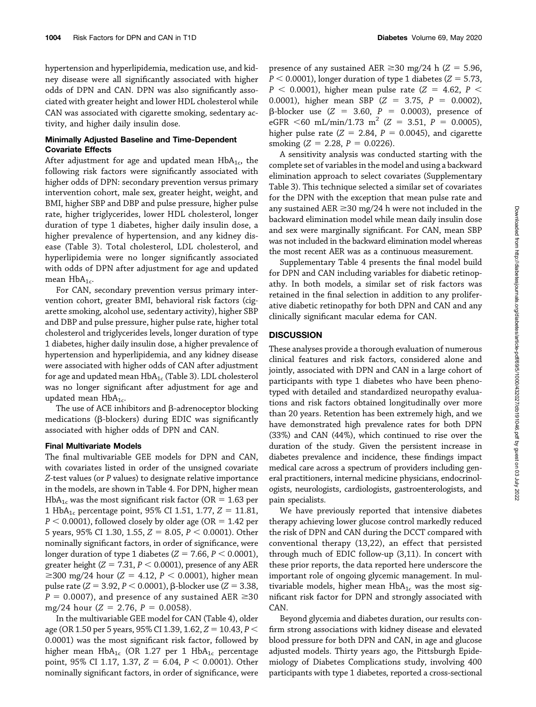hypertension and hyperlipidemia, medication use, and kidney disease were all significantly associated with higher odds of DPN and CAN. DPN was also significantly associated with greater height and lower HDL cholesterol while CAN was associated with cigarette smoking, sedentary activity, and higher daily insulin dose.

# Minimally Adjusted Baseline and Time-Dependent Covariate Effects

After adjustment for age and updated mean  $HbA_{1c}$ , the following risk factors were significantly associated with higher odds of DPN: secondary prevention versus primary intervention cohort, male sex, greater height, weight, and BMI, higher SBP and DBP and pulse pressure, higher pulse rate, higher triglycerides, lower HDL cholesterol, longer duration of type 1 diabetes, higher daily insulin dose, a higher prevalence of hypertension, and any kidney disease (Table 3). Total cholesterol, LDL cholesterol, and hyperlipidemia were no longer significantly associated with odds of DPN after adjustment for age and updated mean  $HbA_{1c}$ .

For CAN, secondary prevention versus primary intervention cohort, greater BMI, behavioral risk factors (cigarette smoking, alcohol use, sedentary activity), higher SBP and DBP and pulse pressure, higher pulse rate, higher total cholesterol and triglycerides levels, longer duration of type 1 diabetes, higher daily insulin dose, a higher prevalence of hypertension and hyperlipidemia, and any kidney disease were associated with higher odds of CAN after adjustment for age and updated mean  $HbA_{1c}$  (Table 3). LDL cholesterol was no longer significant after adjustment for age and updated mean  $HbA_{1c}$ .

The use of ACE inhibitors and  $\beta$ -adrenoceptor blocking medications ( $\beta$ -blockers) during EDIC was significantly associated with higher odds of DPN and CAN.

## Final Multivariate Models

The final multivariable GEE models for DPN and CAN, with covariates listed in order of the unsigned covariate Z-test values (or P values) to designate relative importance in the models, are shown in Table 4. For DPN, higher mean HbA<sub>1c</sub> was the most significant risk factor (OR = 1.63 per 1 HbA<sub>1c</sub> percentage point, 95% CI 1.51, 1.77,  $Z = 11.81$ ,  $P < 0.0001$ ), followed closely by older age (OR = 1.42 per 5 years, 95% CI 1.30, 1.55,  $Z = 8.05$ ,  $P < 0.0001$ ). Other nominally significant factors, in order of significance, were longer duration of type 1 diabetes ( $Z = 7.66$ ,  $P < 0.0001$ ), greater height ( $Z = 7.31$ ,  $P < 0.0001$ ), presence of any AER  $\geq$ 300 mg/24 hour (Z = 4.12, P < 0.0001), higher mean pulse rate ( $Z = 3.92$ ,  $P < 0.0001$ ),  $\beta$ -blocker use ( $Z = 3.38$ ,  $P = 0.0007$ ), and presence of any sustained AER  $\geq 30$ mg/24 hour  $(Z = 2.76, P = 0.0058)$ .

In the multivariable GEE model for CAN (Table 4), older age (OR 1.50 per 5 years, 95% CI 1.39, 1.62,  $Z = 10.43$ ,  $P <$ 0.0001) was the most significant risk factor, followed by higher mean  $HbA_{1c}$  (OR 1.27 per 1 Hb $A_{1c}$  percentage point, 95% CI 1.17, 1.37,  $Z = 6.04$ ,  $P < 0.0001$ ). Other nominally significant factors, in order of significance, were presence of any sustained AER  $\geq$  30 mg/24 h (Z = 5.96,  $P < 0.0001$ ), longer duration of type 1 diabetes ( $Z = 5.73$ ,  $P < 0.0001$ ), higher mean pulse rate (Z = 4.62, P < 0.0001), higher mean SBP  $(Z = 3.75, P = 0.0002)$ ,  $\beta$ -blocker use (Z = 3.60, P = 0.0003), presence of eGFR  $\leq 60$  mL/min/1.73 m<sup>2</sup> (Z = 3.51, P = 0.0005), higher pulse rate ( $Z = 2.84$ ,  $P = 0.0045$ ), and cigarette smoking  $(Z = 2.28, P = 0.0226)$ .

A sensitivity analysis was conducted starting with the complete set of variables in the model and using a backward elimination approach to select covariates ([Supplementary](http://diabetes.diabetesjournals.org/lookup/suppl/doi:10.2337/db19-1046/-/DC1) [Table 3\)](http://diabetes.diabetesjournals.org/lookup/suppl/doi:10.2337/db19-1046/-/DC1). This technique selected a similar set of covariates for the DPN with the exception that mean pulse rate and any sustained  $AER \geq 30$  mg/24 h were not included in the backward elimination model while mean daily insulin dose and sex were marginally significant. For CAN, mean SBP was not included in the backward elimination model whereas the most recent AER was as a continuous measurement.

[Supplementary Table 4](http://diabetes.diabetesjournals.org/lookup/suppl/doi:10.2337/db19-1046/-/DC1) presents the final model build for DPN and CAN including variables for diabetic retinopathy. In both models, a similar set of risk factors was retained in the final selection in addition to any proliferative diabetic retinopathy for both DPN and CAN and any clinically significant macular edema for CAN.

# **DISCUSSION**

These analyses provide a thorough evaluation of numerous clinical features and risk factors, considered alone and jointly, associated with DPN and CAN in a large cohort of participants with type 1 diabetes who have been phenotyped with detailed and standardized neuropathy evaluations and risk factors obtained longitudinally over more than 20 years. Retention has been extremely high, and we have demonstrated high prevalence rates for both DPN (33%) and CAN (44%), which continued to rise over the duration of the study. Given the persistent increase in diabetes prevalence and incidence, these findings impact medical care across a spectrum of providers including general practitioners, internal medicine physicians, endocrinologists, neurologists, cardiologists, gastroenterologists, and pain specialists.

We have previously reported that intensive diabetes therapy achieving lower glucose control markedly reduced the risk of DPN and CAN during the DCCT compared with conventional therapy (13,22), an effect that persisted through much of EDIC follow-up (3,11). In concert with these prior reports, the data reported here underscore the important role of ongoing glycemic management. In multivariable models, higher mean  $HbA_{1c}$  was the most significant risk factor for DPN and strongly associated with CAN.

Beyond glycemia and diabetes duration, our results confirm strong associations with kidney disease and elevated blood pressure for both DPN and CAN, in age and glucose adjusted models. Thirty years ago, the Pittsburgh Epidemiology of Diabetes Complications study, involving 400 participants with type 1 diabetes, reported a cross-sectional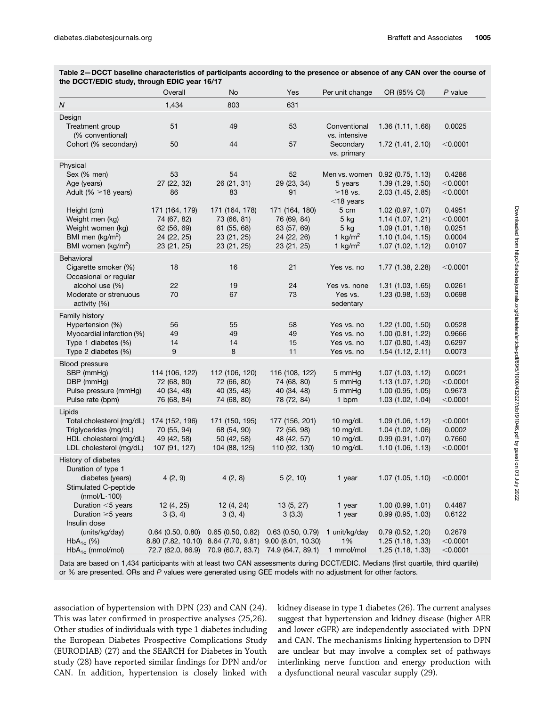|                                                                  | Overall             | <b>No</b>         | Yes                                                     | Per unit change               | OR (95% CI)                                | $P$ value        |
|------------------------------------------------------------------|---------------------|-------------------|---------------------------------------------------------|-------------------------------|--------------------------------------------|------------------|
| $\overline{N}$                                                   | 1,434               | 803               | 631                                                     |                               |                                            |                  |
| Design<br>Treatment group<br>(% conventional)                    | 51                  | 49                | 53                                                      | Conventional<br>vs. intensive | 1.36(1.11, 1.66)                           | 0.0025           |
| Cohort (% secondary)                                             | 50                  | 44                | 57                                                      | Secondary<br>vs. primary      | 1.72 (1.41, 2.10)                          | $<$ 0.0001       |
| Physical                                                         |                     |                   |                                                         |                               |                                            |                  |
| Sex (% men)                                                      | 53                  | 54                | 52                                                      | Men vs. women                 | $0.92$ (0.75, 1.13)                        | 0.4286           |
| Age (years)                                                      | 27 (22, 32)         | 26 (21, 31)       | 29 (23, 34)                                             | 5 years                       | 1.39 (1.29, 1.50)                          | $<$ 0.0001       |
| Adult (% $\geq$ 18 years)                                        | 86                  | 83                | 91                                                      | $\geq$ 18 vs.<br>$<$ 18 years | 2.03 (1.45, 2.85)                          | $<$ 0.0001       |
| Height (cm)                                                      | 171 (164, 179)      | 171 (164, 178)    | 171 (164, 180)                                          | 5 cm                          | 1.02 (0.97, 1.07)                          | 0.4951           |
| Weight men (kg)                                                  | 74 (67, 82)         | 73 (66, 81)       | 76 (69, 84)                                             | $5$ kg                        | 1.14(1.07, 1.21)                           | $<$ 0.0001       |
| Weight women (kg)                                                | 62 (56, 69)         | 61 (55, 68)       | 63 (57, 69)                                             | $5$ kg                        | 1.09 (1.01, 1.18)                          | 0.0251           |
| BMI men ( $kg/m2$ )                                              | 24 (22, 25)         | 23 (21, 25)       | 24 (22, 26)                                             | 1 $\text{kg/m}^2$             | 1.10(1.04, 1.15)                           | 0.0004<br>0.0107 |
| BMI women (kg/m <sup>2</sup> )                                   | 23 (21, 25)         | 23 (21, 25)       | 23 (21, 25)                                             | 1 kg/m <sup>2</sup>           | 1.07 (1.02, 1.12)                          |                  |
| Behavioral<br>Cigarette smoker (%)<br>Occasional or regular      | 18                  | 16                | 21                                                      | Yes vs. no                    | 1.77 (1.38, 2.28)                          | $<$ 0.0001       |
| alcohol use (%)                                                  | 22                  | 19                | 24                                                      | Yes vs. none                  | 1.31(1.03, 1.65)                           | 0.0261           |
| Moderate or strenuous                                            | 70                  | 67                | 73                                                      | Yes vs.                       | 1.23 (0.98, 1.53)                          | 0.0698           |
| activity (%)                                                     |                     |                   |                                                         | sedentary                     |                                            |                  |
| Family history                                                   |                     |                   |                                                         |                               |                                            |                  |
| Hypertension (%)                                                 | 56                  | 55<br>49          | 58                                                      | Yes vs. no                    | $1.22$ (1.00, 1.50)                        | 0.0528           |
| Myocardial infarction (%)<br>Type 1 diabetes (%)                 | 49<br>14            | 14                | 49<br>15                                                | Yes vs. no<br>Yes vs. no      | $1.00$ (0.81, 1.22)<br>$1.07$ (0.80, 1.43) | 0.9666<br>0.6297 |
| Type 2 diabetes (%)                                              | 9                   | 8                 | 11                                                      | Yes vs. no                    | 1.54(1.12, 2.11)                           | 0.0073           |
|                                                                  |                     |                   |                                                         |                               |                                            |                  |
| <b>Blood pressure</b><br>SBP (mmHg)                              | 114 (106, 122)      | 112 (106, 120)    | 116 (108, 122)                                          | 5 mmHg                        | $1.07$ (1.03, 1.12)                        | 0.0021           |
| DBP (mmHg)                                                       | 72 (68, 80)         | 72 (66, 80)       | 74 (68, 80)                                             | 5 mmHg                        | 1.13 (1.07, 1.20)                          | $<$ 0.0001       |
| Pulse pressure (mmHg)                                            | 40 (34, 48)         | 40 (35, 48)       | 40 (34, 48)                                             | 5 mmHg                        | $1.00$ (0.95, 1.05)                        | 0.9673           |
| Pulse rate (bpm)                                                 | 76 (68, 84)         | 74 (68, 80)       | 78 (72, 84)                                             | 1 bpm                         | 1.03 (1.02, 1.04)                          | $<$ 0.0001       |
| Lipids                                                           |                     |                   |                                                         |                               |                                            |                  |
| Total cholesterol (mg/dL)                                        | 174 (152, 196)      | 171 (150, 195)    | 177 (156, 201)                                          | 10 $mg/dL$                    | 1.09(1.06, 1.12)                           | $<$ 0.0001       |
| Triglycerides (mg/dL)                                            | 70 (55, 94)         | 68 (54, 90)       | 72 (56, 98)                                             | 10 $mg/dL$                    | 1.04 (1.02, 1.06)                          | 0.0002           |
| HDL cholesterol (mg/dL)                                          | 49 (42, 58)         | 50 (42, 58)       | 48 (42, 57)                                             | 10 $mg/dL$                    | 0.99(0.91, 1.07)                           | 0.7660           |
| LDL cholesterol (mg/dL)                                          | 107 (91, 127)       | 104 (88, 125)     | 110 (92, 130)                                           | 10 mg/dL                      | 1.10(1.06, 1.13)                           | $<$ 0.0001       |
| History of diabetes<br>Duration of type 1                        |                     |                   |                                                         |                               |                                            |                  |
| diabetes (years)<br>Stimulated C-peptide<br>(nmol/L $\cdot$ 100) | 4(2, 9)             | 4(2, 8)           | 5(2, 10)                                                | 1 year                        | $1.07$ (1.05, 1.10)                        | $<$ 0.0001       |
| Duration $<$ 5 years                                             | 12 (4, 25)          | 12(4, 24)         | 13(5, 27)                                               | 1 year                        | 1.00(0.99, 1.01)                           | 0.4487           |
| Duration $\geq$ 5 years                                          | 3(3, 4)             | 3(3, 4)           | 3(3,3)                                                  | 1 year                        | 0.99(0.95, 1.03)                           | 0.6122           |
| Insulin dose                                                     |                     |                   |                                                         |                               |                                            |                  |
| (units/kg/day)                                                   | $0.64$ (0.50, 0.80) | 0.65(0.50, 0.82)  | $0.63$ (0.50, 0.79)                                     | 1 unit/kg/day                 | 0.79(0.52, 1.20)                           | 0.2679           |
| $HbA_{1c}$ (%)                                                   |                     |                   | 8.80 (7.82, 10.10) 8.64 (7.70, 9.81) 9.00 (8.01, 10.30) | 1%                            | 1.25 (1.18, 1.33)                          | $<$ 0.0001       |
| $HbA_{1c}$ (mmol/mol)                                            | 72.7 (62.0, 86.9)   | 70.9 (60.7, 83.7) | 74.9 (64.7, 89.1)                                       | 1 mmol/mol                    | 1.25(1.18, 1.33)                           | $<$ 0.0001       |

Table 2—DCCT baseline characteristics of participants according to the presence or absence of any CAN over the course of the DCCT/EDIC study, through EDIC year 16/17

Data are based on 1,434 participants with at least two CAN assessments during DCCT/EDIC. Medians (first quartile, third quartile) or % are presented. ORs and P values were generated using GEE models with no adjustment for other factors.

association of hypertension with DPN (23) and CAN (24). This was later confirmed in prospective analyses (25,26). Other studies of individuals with type 1 diabetes including the European Diabetes Prospective Complications Study (EURODIAB) (27) and the SEARCH for Diabetes in Youth study (28) have reported similar findings for DPN and/or CAN. In addition, hypertension is closely linked with kidney disease in type 1 diabetes (26). The current analyses suggest that hypertension and kidney disease (higher AER and lower eGFR) are independently associated with DPN and CAN. The mechanisms linking hypertension to DPN are unclear but may involve a complex set of pathways interlinking nerve function and energy production with a dysfunctional neural vascular supply (29).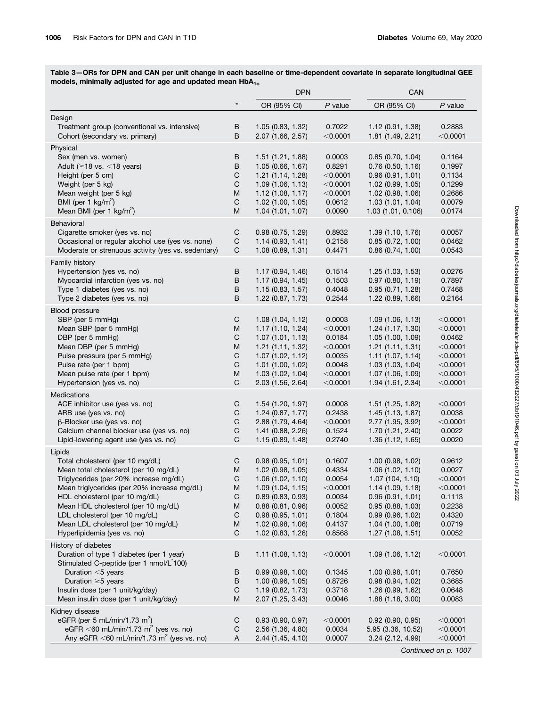Table 3—ORs for DPN and CAN per unit change in each baseline or time-dependent covariate in separate longitudinal GEE models, minimally adjusted for age and updated mean  $HbA_{1c}$ 

|                                                                    |                             | <b>DPN</b>                                |                    | CAN                                   |                          |
|--------------------------------------------------------------------|-----------------------------|-------------------------------------------|--------------------|---------------------------------------|--------------------------|
|                                                                    |                             | OR (95% CI)                               | $P$ value          | OR (95% CI)                           | $P$ value                |
|                                                                    |                             |                                           |                    |                                       |                          |
| Design<br>Treatment group (conventional vs. intensive)             |                             |                                           |                    |                                       |                          |
|                                                                    | B                           | 1.05(0.83, 1.32)                          | 0.7022             | 1.12(0.91, 1.38)                      | 0.2883                   |
| Cohort (secondary vs. primary)                                     | В                           | 2.07 (1.66, 2.57)                         | $<$ 0.0001         | 1.81 (1.49, 2.21)                     | $<$ 0.0001               |
| Physical                                                           |                             |                                           |                    |                                       |                          |
| Sex (men vs. women)                                                | B                           | 1.51(1.21, 1.88)                          | 0.0003             | 0.85(0.70, 1.04)                      | 0.1164                   |
| Adult ( $\geq$ 18 vs. <18 years)                                   | B                           | 1.05(0.66, 1.67)                          | 0.8291             | $0.76$ $(0.50, 1.16)$                 | 0.1997                   |
| Height (per 5 cm)                                                  | $\mathsf C$                 | 1.21(1.14, 1.28)                          | $<$ 0.0001         | 0.96(0.91, 1.01)                      | 0.1134                   |
| Weight (per 5 kg)                                                  | C                           | 1.09(1.06, 1.13)                          | $<$ 0.0001         | 1.02 (0.99, 1.05)                     | 0.1299                   |
| Mean weight (per 5 kg)                                             | M                           | 1.12(1.08, 1.17)                          | $<$ 0.0001         | $1.02$ (0.98, 1.06)                   | 0.2686                   |
| BMI (per 1 $\text{kg/m}^2$ )                                       | $\mathsf C$                 | $1.02$ (1.00, 1.05)                       | 0.0612             | 1.03(1.01, 1.04)                      | 0.0079                   |
| Mean BMI (per 1 $\text{kg/m}^2$ )                                  | M                           | 1.04(1.01, 1.07)                          | 0.0090             | 1.03 (1.01, 0.106)                    | 0.0174                   |
| Behavioral                                                         |                             |                                           |                    |                                       |                          |
| Cigarette smoker (yes vs. no)                                      | C                           | 0.98(0.75, 1.29)                          | 0.8932             | 1.39 (1.10, 1.76)                     | 0.0057                   |
| Occasional or regular alcohol use (yes vs. none)                   | C                           | 1.14(0.93, 1.41)                          | 0.2158             | $0.85$ $(0.72, 1.00)$                 | 0.0462                   |
| Moderate or strenuous activity (yes vs. sedentary)                 | C                           | 1.08 (0.89, 1.31)                         | 0.4471             | $0.86$ (0.74, 1.00)                   | 0.0543                   |
| Family history                                                     |                             |                                           |                    |                                       |                          |
| Hypertension (yes vs. no)                                          | В                           | 1.17(0.94, 1.46)                          | 0.1514             | 1.25 (1.03, 1.53)                     | 0.0276                   |
| Myocardial infarction (yes vs. no)                                 | B                           | 1.17(0.94, 1.45)                          | 0.1503             | $0.97$ (0.80, 1.19)                   | 0.7897                   |
| Type 1 diabetes (yes vs. no)                                       | B                           | 1.15(0.83, 1.57)                          | 0.4048             | 0.95(0.71, 1.28)                      | 0.7468                   |
| Type 2 diabetes (yes vs. no)                                       | В                           | $1.22$ (0.87, 1.73)                       | 0.2544             | 1.22 (0.89, 1.66)                     | 0.2164                   |
|                                                                    |                             |                                           |                    |                                       |                          |
| Blood pressure                                                     |                             |                                           |                    | 1.09(1.06, 1.13)                      |                          |
| SBP (per 5 mmHg)<br>Mean SBP (per 5 mmHg)                          | C<br>M                      | 1.08(1.04, 1.12)<br>1.17(1.10, 1.24)      | 0.0003             |                                       | $<$ 0.0001               |
|                                                                    | $\mathsf C$                 |                                           | $<$ 0.0001         | 1.24(1.17, 1.30)                      | $<$ 0.0001               |
| DBP (per 5 mmHg)<br>Mean DBP (per 5 mmHg)                          | M                           | 1.07(1.01, 1.13)<br>1.21(1.11, 1.32)      | 0.0184<br>< 0.0001 | 1.05(1.00, 1.09)<br>1.21(1.11, 1.31)  | 0.0462<br>$<$ 0.0001     |
|                                                                    | $\mathsf C$                 |                                           |                    |                                       |                          |
| Pulse pressure (per 5 mmHg)<br>Pulse rate (per 1 bpm)              | $\mathsf C$                 | 1.07(1.02, 1.12)                          | 0.0035<br>0.0048   | 1.11(1.07, 1.14)                      | $<$ 0.0001               |
| Mean pulse rate (per 1 bpm)                                        | M                           | $1.01$ $(1.00, 1.02)$<br>1.03(1.02, 1.04) | $<$ 0.0001         | 1.03(1.03, 1.04)<br>1.07 (1.06, 1.09) | $<$ 0.0001<br>$<$ 0.0001 |
| Hypertension (yes vs. no)                                          | $\mathsf{C}$                | 2.03 (1.56, 2.64)                         | $<$ 0.0001         | 1.94 (1.61, 2.34)                     | $<$ 0.0001               |
|                                                                    |                             |                                           |                    |                                       |                          |
| Medications                                                        |                             |                                           |                    |                                       |                          |
| ACE inhibitor use (yes vs. no)                                     | C                           | 1.54(1.20, 1.97)                          | 0.0008             | 1.51 (1.25, 1.82)                     | $<$ 0.0001               |
| ARB use (yes vs. no)                                               | $\mathsf C$                 | 1.24(0.87, 1.77)                          | 0.2438             | 1.45 (1.13, 1.87)                     | 0.0038                   |
| $\beta$ -Blocker use (yes vs. no)                                  | $\mathsf C$                 | 2.88 (1.79, 4.64)                         | $<$ 0.0001         | 2.77 (1.95, 3.92)                     | $<$ 0.0001               |
| Calcium channel blocker use (yes vs. no)                           | $\mathsf C$<br>$\mathsf{C}$ | 1.41(0.88, 2.26)                          | 0.1524             | 1.70 (1.21, 2.40)                     | 0.0022                   |
| Lipid-lowering agent use (yes vs. no)                              |                             | 1.15(0.89, 1.48)                          | 0.2740             | 1.36(1.12, 1.65)                      | 0.0020                   |
| Lipids                                                             |                             |                                           |                    |                                       |                          |
| Total cholesterol (per 10 mg/dL)                                   | C                           | 0.98(0.95, 1.01)                          | 0.1607             | $1.00$ (0.98, $1.02$ )                | 0.9612                   |
| Mean total cholesterol (per 10 mg/dL)                              | M                           | 1.02 (0.98, 1.05)                         | 0.4334             | 1.06(1.02, 1.10)                      | 0.0027                   |
| Triglycerides (per 20% increase mg/dL)                             | C                           | 1.06(1.02, 1.10)                          | 0.0054             | 1.07(104, 1.10)                       | $<$ 0.0001               |
| Mean triglycerides (per 20% increase mg/dL)                        | M                           | 1.09(1.04, 1.15)                          | $<$ 0.0001         | 1.14 (1.09, 1.18)                     | $<$ 0.0001               |
| HDL cholesterol (per 10 mg/dL)                                     | C                           | $0.89$ (0.83, 0.93)                       | 0.0034             | 0.96(0.91, 1.01)                      | 0.1113                   |
| Mean HDL cholesterol (per 10 mg/dL)                                | M                           | 0.88(0.81, 0.96)                          | 0.0052<br>0.1804   | 0.95(0.88, 1.03)                      | 0.2238                   |
| LDL cholesterol (per 10 mg/dL)                                     | C                           | 0.98(0.95, 1.01)                          |                    | $0.99$ (0.96, 1.02)                   | 0.4320                   |
| Mean LDL cholesterol (per 10 mg/dL)<br>Hyperlipidemia (yes vs. no) | M                           | $1.02$ (0.98, 1.06)                       | 0.4137             | $1.04$ $(1.00, 1.08)$                 | 0.0719                   |
|                                                                    | C                           | 1.02 (0.83, 1.26)                         | 0.8568             | 1.27(1.08, 1.51)                      | 0.0052                   |
| History of diabetes                                                |                             |                                           |                    |                                       |                          |
| Duration of type 1 diabetes (per 1 year)                           | B                           | 1.11(1.08, 1.13)                          | $<$ 0.0001         | 1.09(1.06, 1.12)                      | $<$ 0.0001               |
| Stimulated C-peptide (per 1 nmol/L 100)                            |                             |                                           |                    |                                       |                          |
| Duration <5 years                                                  | В                           | 0.99(0.98, 1.00)                          | 0.1345             | $1.00$ (0.98, $1.01$ )                | 0.7650                   |
| Duration $\geq$ 5 years                                            | B                           | 1.00 (0.96, 1.05)                         | 0.8726             | 0.98(0.94, 1.02)                      | 0.3685                   |
| Insulin dose (per 1 unit/kg/day)                                   | C                           | 1.19(0.82, 1.73)                          | 0.3718             | 1.26 (0.99, 1.62)                     | 0.0648                   |
| Mean insulin dose (per 1 unit/kg/day)                              | Μ                           | 2.07 (1.25, 3.43)                         | 0.0046             | 1.88 (1.18, 3.00)                     | 0.0083                   |
| Kidney disease                                                     |                             |                                           |                    |                                       |                          |
| eGFR (per 5 mL/min/1.73 m <sup>2</sup> )                           | C                           | 0.93(0.90, 0.97)                          | $<$ 0.0001         | $0.92$ (0.90, 0.95)                   | $<$ 0.0001               |
| eGFR <60 mL/min/1.73 m <sup>2</sup> (yes vs. no)                   | C                           | 2.56 (1.36, 4.80)                         | 0.0034             | 5.95 (3.36, 10.52)                    | $<$ 0.0001               |
| Any eGFR <60 mL/min/1.73 m <sup>2</sup> (yes vs. no)               | Α                           | 2.44 (1.45, 4.10)                         | 0.0007             | 3.24 (2.12, 4.99)                     | $<$ 0.0001               |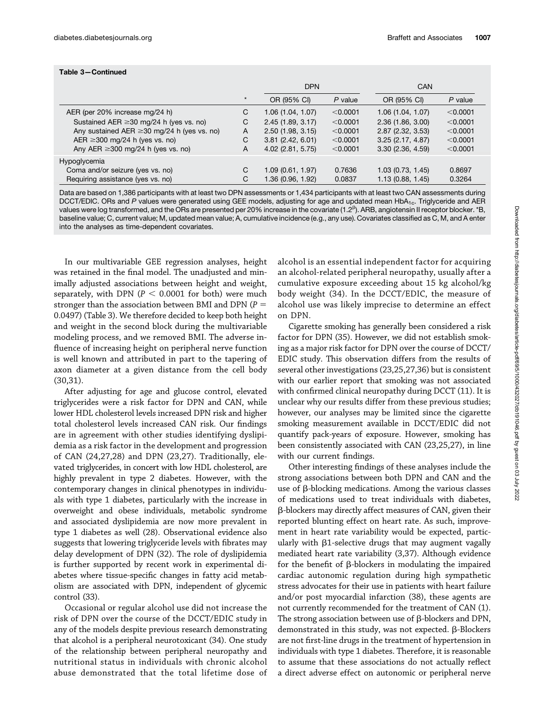|                                                  |         | <b>DPN</b>        |           | CAN                 |          |
|--------------------------------------------------|---------|-------------------|-----------|---------------------|----------|
|                                                  | $\star$ | OR (95% CI)       | $P$ value | OR (95% CI)         | P value  |
| AER (per 20% increase mg/24 h)                   | C       | 1.06(1.04, 1.07)  | < 0.0001  | 1.06(1.04, 1.07)    | < 0.0001 |
| Sustained AER $\geq$ 30 mg/24 h (yes vs. no)     | C       | 2.45(1.89, 3.17)  | < 0.0001  | 2.36(1.86, 3.00)    | < 0.0001 |
| Any sustained AER $\geq$ 30 mg/24 h (yes vs. no) | A       | 2.50(1.98, 3.15)  | < 0.0001  | 2.87 (2.32, 3.53)   | < 0.0001 |
| AER $\geq$ 300 mg/24 h (yes vs. no)              | C       | 3.81(2.42, 6.01)  | < 0.0001  | 3.25(2.17, 4.87)    | < 0.0001 |
| Any AER $\geq$ 300 mg/24 h (yes vs. no)          | A       | 4.02 (2.81, 5.75) | < 0.0001  | 3.30(2.36, 4.59)    | < 0.0001 |
| Hypoglycemia                                     |         |                   |           |                     |          |
| Coma and/or seizure (yes vs. no)                 | С       | 1.09(0.61, 1.97)  | 0.7636    | $1.03$ (0.73, 1.45) | 0.8697   |
| Requiring assistance (yes vs. no)                | С       | 1.36 (0.96, 1.92) | 0.0837    | 1.13(0.88, 1.45)    | 0.3264   |

Data are based on 1,386 participants with at least two DPN assessments or 1,434 participants with at least two CAN assessments during DCCT/EDIC. ORs and P values were generated using GEE models, adjusting for age and updated mean HbA<sub>1c</sub>. Triglyceride and AER values were log transformed, and the ORs are presented per 20% increase in the covariate (1.2<sup>b</sup>). ARB, angiotensin II receptor blocker. \*B, baseline value; C, current value; M, updated mean value; A, cumulative incidence (e.g., any use). Covariates classified as C, M, and A enter into the analyses as time-dependent covariates.

In our multivariable GEE regression analyses, height was retained in the final model. The unadjusted and minimally adjusted associations between height and weight, separately, with DPN ( $P < 0.0001$  for both) were much stronger than the association between BMI and DPN ( $P =$ 0.0497) (Table 3). We therefore decided to keep both height and weight in the second block during the multivariable modeling process, and we removed BMI. The adverse influence of increasing height on peripheral nerve function is well known and attributed in part to the tapering of axon diameter at a given distance from the cell body (30,31).

After adjusting for age and glucose control, elevated triglycerides were a risk factor for DPN and CAN, while lower HDL cholesterol levels increased DPN risk and higher total cholesterol levels increased CAN risk. Our findings are in agreement with other studies identifying dyslipidemia as a risk factor in the development and progression of CAN (24,27,28) and DPN (23,27). Traditionally, elevated triglycerides, in concert with low HDL cholesterol, are highly prevalent in type 2 diabetes. However, with the contemporary changes in clinical phenotypes in individuals with type 1 diabetes, particularly with the increase in overweight and obese individuals, metabolic syndrome and associated dyslipidemia are now more prevalent in type 1 diabetes as well (28). Observational evidence also suggests that lowering triglyceride levels with fibrates may delay development of DPN (32). The role of dyslipidemia is further supported by recent work in experimental diabetes where tissue-specific changes in fatty acid metabolism are associated with DPN, independent of glycemic control (33).

Occasional or regular alcohol use did not increase the risk of DPN over the course of the DCCT/EDIC study in any of the models despite previous research demonstrating that alcohol is a peripheral neurotoxicant (34). One study of the relationship between peripheral neuropathy and nutritional status in individuals with chronic alcohol abuse demonstrated that the total lifetime dose of

alcohol is an essential independent factor for acquiring an alcohol-related peripheral neuropathy, usually after a cumulative exposure exceeding about 15 kg alcohol/kg body weight (34). In the DCCT/EDIC, the measure of alcohol use was likely imprecise to determine an effect on DPN.

Cigarette smoking has generally been considered a risk factor for DPN (35). However, we did not establish smoking as a major risk factor for DPN over the course of DCCT/ EDIC study. This observation differs from the results of several other investigations (23,25,27,36) but is consistent with our earlier report that smoking was not associated with confirmed clinical neuropathy during DCCT (11). It is unclear why our results differ from these previous studies; however, our analyses may be limited since the cigarette smoking measurement available in DCCT/EDIC did not quantify pack-years of exposure. However, smoking has been consistently associated with CAN (23,25,27), in line with our current findings.

Other interesting findings of these analyses include the strong associations between both DPN and CAN and the use of  $\beta$ -blocking medications. Among the various classes of medications used to treat individuals with diabetes, b-blockers may directly affect measures of CAN, given their reported blunting effect on heart rate. As such, improvement in heart rate variability would be expected, particularly with  $\beta$ 1-selective drugs that may augment vagally mediated heart rate variability (3,37). Although evidence for the benefit of  $\beta$ -blockers in modulating the impaired cardiac autonomic regulation during high sympathetic stress advocates for their use in patients with heart failure and/or post myocardial infarction (38), these agents are not currently recommended for the treatment of CAN (1). The strong association between use of  $\beta$ -blockers and DPN, demonstrated in this study, was not expected.  $\beta$ -Blockers are not first-line drugs in the treatment of hypertension in individuals with type 1 diabetes. Therefore, it is reasonable to assume that these associations do not actually reflect a direct adverse effect on autonomic or peripheral nerve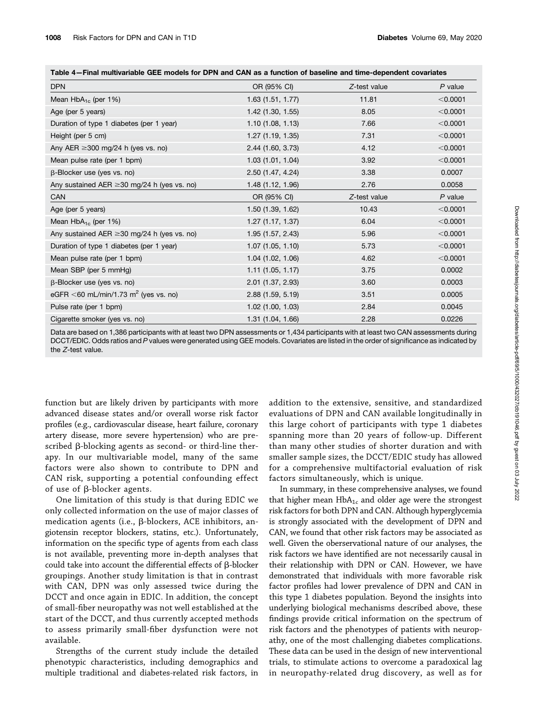| Table 4–Final multivariable GEE models for DPN and CAN as a function of baseline and time-dependent covariates |  |
|----------------------------------------------------------------------------------------------------------------|--|
|----------------------------------------------------------------------------------------------------------------|--|

| <b>DPN</b>                                          | OR (95% CI)         | Z-test value | P value   |
|-----------------------------------------------------|---------------------|--------------|-----------|
| Mean $HbA_{1c}$ (per 1%)                            | 1.63(1.51, 1.77)    | 11.81        | < 0.0001  |
| Age (per 5 years)                                   | $1.42$ (1.30, 1.55) | 8.05         | < 0.0001  |
| Duration of type 1 diabetes (per 1 year)            | 1.10(1.08, 1.13)    | 7.66         | < 0.0001  |
| Height (per 5 cm)                                   | 1.27(1.19, 1.35)    | 7.31         | < 0.0001  |
| Any AER $\geq$ 300 mg/24 h (yes vs. no)             | 2.44 (1.60, 3.73)   | 4.12         | < 0.0001  |
| Mean pulse rate (per 1 bpm)                         | 1.03(1.01, 1.04)    | 3.92         | < 0.0001  |
| $\beta$ -Blocker use (yes vs. no)                   | 2.50 (1.47, 4.24)   | 3.38         | 0.0007    |
| Any sustained AER $\geq$ 30 mg/24 h (yes vs. no)    | 1.48 (1.12, 1.96)   | 2.76         | 0.0058    |
| CAN                                                 | OR (95% CI)         | Z-test value | $P$ value |
| Age (per 5 years)                                   | 1.50 (1.39, 1.62)   | 10.43        | < 0.0001  |
| Mean $HbA_{1c}$ (per 1%)                            | 1.27 (1.17, 1.37)   | 6.04         | < 0.0001  |
| Any sustained AER $\geq$ 30 mg/24 h (yes vs. no)    | 1.95(1.57, 2.43)    | 5.96         | < 0.0001  |
| Duration of type 1 diabetes (per 1 year)            | 1.07(1.05, 1.10)    | 5.73         | < 0.0001  |
| Mean pulse rate (per 1 bpm)                         | 1.04 (1.02, 1.06)   | 4.62         | < 0.0001  |
| Mean SBP (per 5 mmHg)                               | 1.11 (1.05, 1.17)   | 3.75         | 0.0002    |
| $\beta$ -Blocker use (yes vs. no)                   | $2.01$ (1.37, 2.93) | 3.60         | 0.0003    |
| eGFR $<$ 60 mL/min/1.73 m <sup>2</sup> (yes vs. no) | 2.88 (1.59, 5.19)   | 3.51         | 0.0005    |
| Pulse rate (per 1 bpm)                              | $1.02$ (1.00, 1.03) | 2.84         | 0.0045    |
| Cigarette smoker (yes vs. no)                       | 1.31 (1.04, 1.66)   | 2.28         | 0.0226    |

Data are based on 1,386 participants with at least two DPN assessments or 1,434 participants with at least two CAN assessments during DCCT/EDIC. Odds ratios and P values were generated using GEE models. Covariates are listed in the order of significance as indicated by the Z-test value.

function but are likely driven by participants with more advanced disease states and/or overall worse risk factor profiles (e.g., cardiovascular disease, heart failure, coronary artery disease, more severe hypertension) who are prescribed  $\beta$ -blocking agents as second- or third-line therapy. In our multivariable model, many of the same factors were also shown to contribute to DPN and CAN risk, supporting a potential confounding effect of use of  $\beta$ -blocker agents.

One limitation of this study is that during EDIC we only collected information on the use of major classes of medication agents (i.e.,  $\beta$ -blockers, ACE inhibitors, angiotensin receptor blockers, statins, etc.). Unfortunately, information on the specific type of agents from each class is not available, preventing more in-depth analyses that could take into account the differential effects of  $\beta$ -blocker groupings. Another study limitation is that in contrast with CAN, DPN was only assessed twice during the DCCT and once again in EDIC. In addition, the concept of small-fiber neuropathy was not well established at the start of the DCCT, and thus currently accepted methods to assess primarily small-fiber dysfunction were not available.

Strengths of the current study include the detailed phenotypic characteristics, including demographics and multiple traditional and diabetes-related risk factors, in

addition to the extensive, sensitive, and standardized evaluations of DPN and CAN available longitudinally in this large cohort of participants with type 1 diabetes spanning more than 20 years of follow-up. Different than many other studies of shorter duration and with smaller sample sizes, the DCCT/EDIC study has allowed for a comprehensive multifactorial evaluation of risk factors simultaneously, which is unique.

In summary, in these comprehensive analyses, we found that higher mean  $HbA_{1c}$  and older age were the strongest risk factors for both DPN and CAN. Although hyperglycemia is strongly associated with the development of DPN and CAN, we found that other risk factors may be associated as well. Given the oberservational nature of our analyses, the risk factors we have identified are not necessarily causal in their relationship with DPN or CAN. However, we have demonstrated that individuals with more favorable risk factor profiles had lower prevalence of DPN and CAN in this type 1 diabetes population. Beyond the insights into underlying biological mechanisms described above, these findings provide critical information on the spectrum of risk factors and the phenotypes of patients with neuropathy, one of the most challenging diabetes complications. These data can be used in the design of new interventional trials, to stimulate actions to overcome a paradoxical lag in neuropathy-related drug discovery, as well as for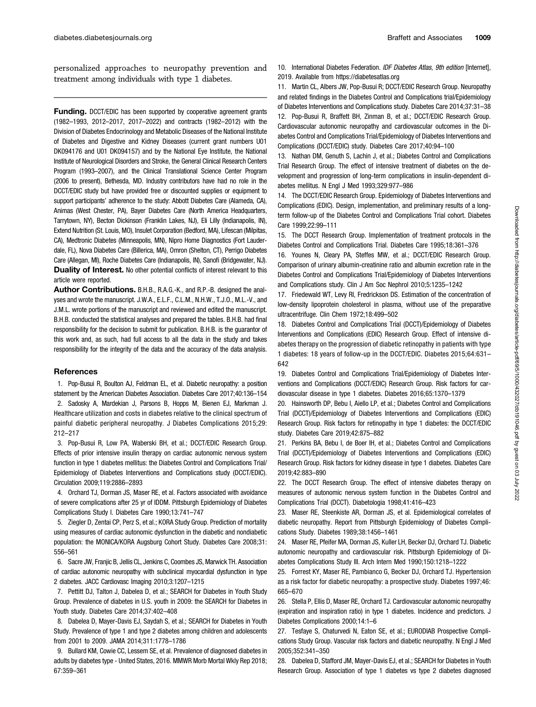personalized approaches to neuropathy prevention and treatment among individuals with type 1 diabetes.

Funding. DCCT/EDIC has been supported by cooperative agreement grants (1982–1993, 2012–2017, 2017–2022) and contracts (1982–2012) with the Division of Diabetes Endocrinology and Metabolic Diseases of the National Institute of Diabetes and Digestive and Kidney Diseases (current grant numbers U01 DK094176 and U01 DK094157) and by the National Eye Institute, the National Institute of Neurological Disorders and Stroke, the General Clinical Research Centers Program (1993–2007), and the Clinical Translational Science Center Program (2006 to present), Bethesda, MD. Industry contributors have had no role in the DCCT/EDIC study but have provided free or discounted supplies or equipment to support participants' adherence to the study: Abbott Diabetes Care (Alameda, CA), Animas (West Chester, PA), Bayer Diabetes Care (North America Headquarters, Tarrytown, NY), Becton Dickinson (Franklin Lakes, NJ), Eli Lilly (Indianapolis, IN), Extend Nutrition (St. Louis, MO), Insulet Corporation (Bedford, MA), Lifescan (Milpitas, CA), Medtronic Diabetes (Minneapolis, MN), Nipro Home Diagnostics (Fort Lauderdale, FL), Nova Diabetes Care (Billerica, MA), Omron (Shelton, CT), Perrigo Diabetes Care (Allegan, MI), Roche Diabetes Care (Indianapolis, IN), Sanofi (Bridgewater, NJ). Duality of Interest. No other potential conflicts of interest relevant to this article were reported.

Author Contributions. B.H.B., R.A.G.-K., and R.P.-B. designed the analyses and wrote the manuscript. J.W.A., E.L.F., C.L.M., N.H.W., T.J.O., M.L.-V., and J.M.L. wrote portions of the manuscript and reviewed and edited the manuscript. B.H.B. conducted the statistical analyses and prepared the tables. B.H.B. had final responsibility for the decision to submit for publication. B.H.B. is the guarantor of this work and, as such, had full access to all the data in the study and takes responsibility for the integrity of the data and the accuracy of the data analysis.

#### **References**

1. Pop-Busui R, Boulton AJ, Feldman EL, et al. Diabetic neuropathy: a position statement by the American Diabetes Association. Diabetes Care 2017;40:136–154 2. Sadosky A, Mardekian J, Parsons B, Hopps M, Bienen EJ, Markman J. Healthcare utilization and costs in diabetes relative to the clinical spectrum of painful diabetic peripheral neuropathy. J Diabetes Complications 2015;29: 212–217

3. Pop-Busui R, Low PA, Waberski BH, et al.; DCCT/EDIC Research Group. Effects of prior intensive insulin therapy on cardiac autonomic nervous system function in type 1 diabetes mellitus: the Diabetes Control and Complications Trial/ Epidemiology of Diabetes Interventions and Complications study (DCCT/EDIC). Circulation 2009;119:2886–2893

4. Orchard TJ, Dorman JS, Maser RE, et al. Factors associated with avoidance of severe complications after 25 yr of IDDM. Pittsburgh Epidemiology of Diabetes Complications Study I. Diabetes Care 1990;13:741–747

5. Ziegler D, Zentai CP, Perz S, et al.; KORA Study Group. Prediction of mortality using measures of cardiac autonomic dysfunction in the diabetic and nondiabetic population: the MONICA/KORA Augsburg Cohort Study. Diabetes Care 2008;31: 556–561

6. Sacre JW, Franjic B, Jellis CL, Jenkins C, Coombes JS, Marwick TH. Association of cardiac autonomic neuropathy with subclinical myocardial dysfunction in type 2 diabetes. JACC Cardiovasc Imaging 2010;3:1207–1215

7. Pettitt DJ, Talton J, Dabelea D, et al.; SEARCH for Diabetes in Youth Study Group. Prevalence of diabetes in U.S. youth in 2009: the SEARCH for Diabetes in Youth study. Diabetes Care 2014;37:402–408

8. Dabelea D, Mayer-Davis EJ, Saydah S, et al.; SEARCH for Diabetes in Youth Study. Prevalence of type 1 and type 2 diabetes among children and adolescents from 2001 to 2009. JAMA 2014;311:1778–1786

9. Bullard KM, Cowie CC, Lessem SE, et al. Prevalence of diagnosed diabetes in adults by diabetes type - United States, 2016. MMWR Morb Mortal Wkly Rep 2018; 67:359–361

10. International Diabetes Federation. IDF Diabetes Atlas, 9th edition [Internet], 2019. Available from<https://diabetesatlas.org>

11. Martin CL, Albers JW, Pop-Busui R; DCCT/EDIC Research Group. Neuropathy and related findings in the Diabetes Control and Complications trial/Epidemiology of Diabetes Interventions and Complications study. Diabetes Care 2014;37:31–38 12. Pop-Busui R, Braffett BH, Zinman B, et al.; DCCT/EDIC Research Group. Cardiovascular autonomic neuropathy and cardiovascular outcomes in the Diabetes Control and Complications Trial/Epidemiology of Diabetes Interventions and Complications (DCCT/EDIC) study. Diabetes Care 2017;40:94–100

13. Nathan DM, Genuth S, Lachin J, et al.; Diabetes Control and Complications Trial Research Group. The effect of intensive treatment of diabetes on the development and progression of long-term complications in insulin-dependent diabetes mellitus. N Engl J Med 1993;329:977–986

14. The DCCT/EDIC Research Group. Epidemiology of Diabetes Interventions and Complications (EDIC). Design, implementation, and preliminary results of a longterm follow-up of the Diabetes Control and Complications Trial cohort. Diabetes Care 1999;22:99–111

15. The DCCT Research Group. Implementation of treatment protocols in the Diabetes Control and Complications Trial. Diabetes Care 1995;18:361–376

16. Younes N, Cleary PA, Steffes MW, et al.; DCCT/EDIC Research Group. Comparison of urinary albumin-creatinine ratio and albumin excretion rate in the Diabetes Control and Complications Trial/Epidemiology of Diabetes Interventions and Complications study. Clin J Am Soc Nephrol 2010;5:1235–1242

17. Friedewald WT, Levy RI, Fredrickson DS. Estimation of the concentration of low-density lipoprotein cholesterol in plasma, without use of the preparative ultracentrifuge. Clin Chem 1972;18:499–502

18. Diabetes Control and Complications Trial (DCCT)/Epidemiology of Diabetes Interventions and Complications (EDIC) Research Group. Effect of intensive diabetes therapy on the progression of diabetic retinopathy in patients with type 1 diabetes: 18 years of follow-up in the DCCT/EDIC. Diabetes 2015;64:631– 642

19. Diabetes Control and Complications Trial/Epidemiology of Diabetes Interventions and Complications (DCCT/EDIC) Research Group. Risk factors for cardiovascular disease in type 1 diabetes. Diabetes 2016;65:1370–1379

20. Hainsworth DP, Bebu I, Aiello LP, et al.; Diabetes Control and Complications Trial (DCCT)/Epidemiology of Diabetes Interventions and Complications (EDIC) Research Group. Risk factors for retinopathy in type 1 diabetes: the DCCT/EDIC study. Diabetes Care 2019;42:875–882

21. Perkins BA, Bebu I, de Boer IH, et al.; Diabetes Control and Complications Trial (DCCT)/Epidemiology of Diabetes Interventions and Complications (EDIC) Research Group. Risk factors for kidney disease in type 1 diabetes. Diabetes Care 2019;42:883–890

22. The DCCT Research Group. The effect of intensive diabetes therapy on measures of autonomic nervous system function in the Diabetes Control and Complications Trial (DCCT). Diabetologia 1998;41:416–423

23. Maser RE, Steenkiste AR, Dorman JS, et al. Epidemiological correlates of diabetic neuropathy. Report from Pittsburgh Epidemiology of Diabetes Complications Study. Diabetes 1989;38:1456–1461

24. Maser RE, Pfeifer MA, Dorman JS, Kuller LH, Becker DJ, Orchard TJ. Diabetic autonomic neuropathy and cardiovascular risk. Pittsburgh Epidemiology of Diabetes Complications Study III. Arch Intern Med 1990;150:1218–1222

25. Forrest KY, Maser RE, Pambianco G, Becker DJ, Orchard TJ. Hypertension as a risk factor for diabetic neuropathy: a prospective study. Diabetes 1997;46: 665–670

26. Stella P, Ellis D, Maser RE, Orchard TJ. Cardiovascular autonomic neuropathy (expiration and inspiration ratio) in type 1 diabetes. Incidence and predictors. J Diabetes Complications 2000;14:1–6

27. Tesfaye S, Chaturvedi N, Eaton SE, et al.; EURODIAB Prospective Complications Study Group. Vascular risk factors and diabetic neuropathy. N Engl J Med 2005;352:341–350

28. Dabelea D, Stafford JM, Mayer-Davis EJ, et al.; SEARCH for Diabetes in Youth Research Group. Association of type 1 diabetes vs type 2 diabetes diagnosed